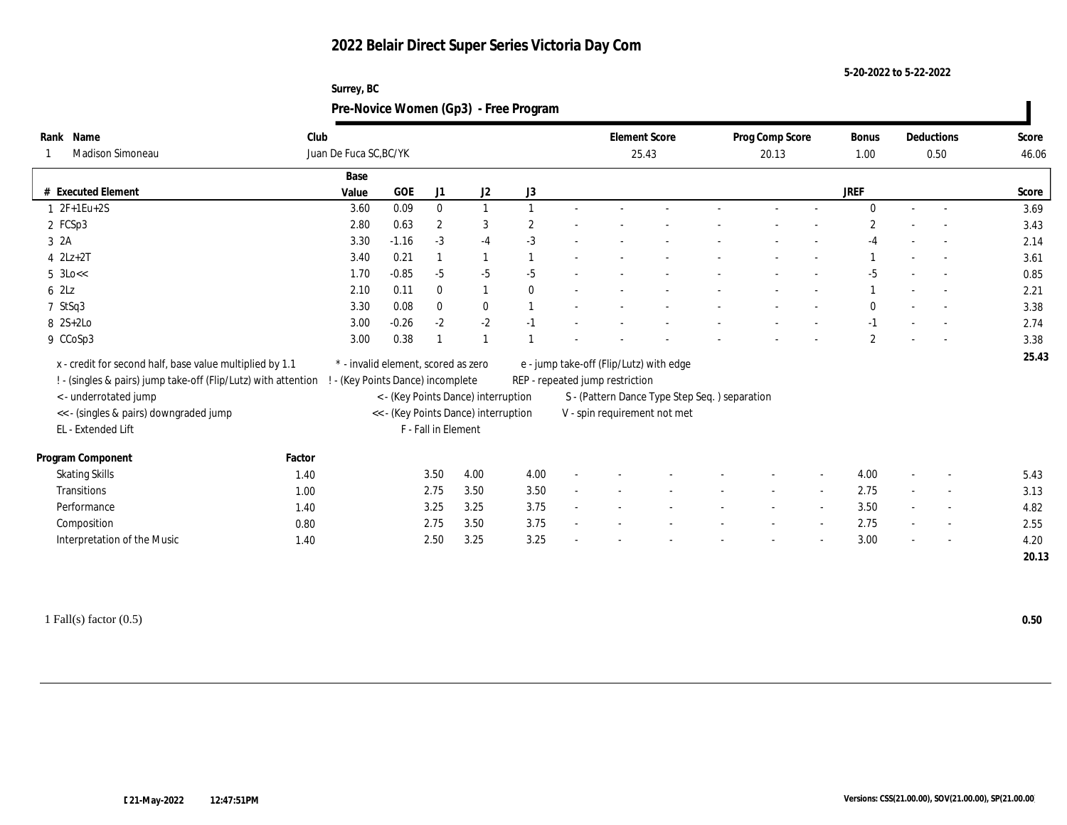#### **5-20-2022 to 5-22-2022**

## **Surrey, BC Pre-Novice Women (Gp3) - Free Program**

| Rank Name                                                      | Club   |                                   |                                     |                     |                                      |          |                                                                               |                                 | <b>Element Score</b>                    |  | Prog Comp Score |                          | <b>Bonus</b>   |  | Deductions               | Score |
|----------------------------------------------------------------|--------|-----------------------------------|-------------------------------------|---------------------|--------------------------------------|----------|-------------------------------------------------------------------------------|---------------------------------|-----------------------------------------|--|-----------------|--------------------------|----------------|--|--------------------------|-------|
| Madison Simoneau                                               |        | Juan De Fuca SC, BC/YK            |                                     |                     |                                      |          |                                                                               |                                 | 25.43                                   |  | 20.13           |                          | 1.00           |  | 0.50                     | 46.06 |
|                                                                |        | Base                              |                                     |                     |                                      |          |                                                                               |                                 |                                         |  |                 |                          |                |  |                          |       |
| # Executed Element                                             |        | Value                             | <b>GOE</b>                          | J1                  | J2                                   | J3       |                                                                               |                                 |                                         |  |                 |                          | JREF           |  |                          | Score |
| $1 \t2F+1Eu+2S$                                                |        | 3.60                              | 0.09                                | $\bf{0}$            |                                      |          |                                                                               |                                 |                                         |  |                 |                          | $\Omega$       |  | $\sim$                   | 3.69  |
| 2 FCSp3                                                        |        | 2.80                              | 0.63                                | $\boldsymbol{2}$    | 3                                    | 2        |                                                                               |                                 |                                         |  |                 |                          | $\overline{2}$ |  |                          | 3.43  |
| 3 2A                                                           |        | 3.30                              | $-1.16$                             | $-3$                | $-4$                                 | $-3$     |                                                                               |                                 |                                         |  |                 |                          | -4             |  |                          | 2.14  |
| $4$ $2Lz+2T$                                                   |        | 3.40                              | 0.21                                |                     |                                      |          |                                                                               |                                 |                                         |  |                 |                          |                |  |                          | 3.61  |
| $5 \text{ } 3 \text{Lo} <<$                                    |        | 1.70                              | $-0.85$                             | $-5$                | $-5$                                 | $-5$     |                                                                               |                                 |                                         |  |                 |                          | $-5$           |  |                          | 0.85  |
| 62Lz                                                           |        | 2.10                              | 0.11                                | $\mathbf{0}$        | $\mathbf{1}$                         | $\theta$ |                                                                               |                                 |                                         |  |                 |                          |                |  |                          | 2.21  |
| 7 StSq3                                                        |        | 3.30                              | 0.08                                | $\bf{0}$            | $\bf{0}$                             |          |                                                                               |                                 |                                         |  |                 |                          | $\mathbf{0}$   |  |                          | 3.38  |
| $8 \quad 2S+2Lo$                                               |        | 3.00                              | $-0.26$                             | $-2$                | $-2$                                 | $-1$     |                                                                               |                                 |                                         |  |                 |                          | $-1$           |  | $\sim$                   | 2.74  |
| 9 CCoSp3                                                       |        | 3.00                              | 0.38                                |                     |                                      |          |                                                                               |                                 |                                         |  |                 |                          | $\overline{2}$ |  |                          | 3.38  |
| x - credit for second half, base value multiplied by 1.1       |        |                                   | * - invalid element, scored as zero |                     |                                      |          |                                                                               |                                 | e - jump take-off (Flip/Lutz) with edge |  |                 |                          |                |  |                          | 25.43 |
| ! - (singles & pairs) jump take-off (Flip/Lutz) with attention |        | ! - (Key Points Dance) incomplete |                                     |                     |                                      |          |                                                                               | REP - repeated jump restriction |                                         |  |                 |                          |                |  |                          |       |
| <- underrotated jump                                           |        |                                   |                                     |                     | < - (Key Points Dance) interruption  |          |                                                                               |                                 |                                         |  |                 |                          |                |  |                          |       |
| << - (singles & pairs) downgraded jump                         |        |                                   |                                     |                     | << - (Key Points Dance) interruption |          | S - (Pattern Dance Type Step Seq.) separation<br>V - spin requirement not met |                                 |                                         |  |                 |                          |                |  |                          |       |
| EL - Extended Lift                                             |        |                                   |                                     | F - Fall in Element |                                      |          |                                                                               |                                 |                                         |  |                 |                          |                |  |                          |       |
|                                                                |        |                                   |                                     |                     |                                      |          |                                                                               |                                 |                                         |  |                 |                          |                |  |                          |       |
| Program Component                                              | Factor |                                   |                                     |                     |                                      |          |                                                                               |                                 |                                         |  |                 |                          |                |  |                          |       |
| <b>Skating Skills</b>                                          | 1.40   |                                   |                                     | 3.50                | 4.00                                 | 4.00     |                                                                               |                                 |                                         |  |                 | $\overline{\phantom{a}}$ | 4.00           |  | $\overline{\phantom{a}}$ | 5.43  |
| Transitions                                                    | 1.00   |                                   |                                     | 2.75                | 3.50                                 | 3.50     |                                                                               |                                 |                                         |  |                 |                          | 2.75           |  | $\overline{\phantom{a}}$ | 3.13  |
| Performance                                                    | 1.40   |                                   |                                     | 3.25                | 3.25                                 | 3.75     |                                                                               |                                 |                                         |  |                 |                          | 3.50           |  | $\overline{\phantom{a}}$ | 4.82  |
| Composition                                                    | 0.80   |                                   |                                     | 2.75                | 3.50                                 | 3.75     |                                                                               |                                 |                                         |  |                 |                          | 2.75           |  | $\overline{\phantom{a}}$ | 2.55  |
| Interpretation of the Music                                    | 1.40   |                                   |                                     | 2.50                | 3.25                                 | 3.25     |                                                                               |                                 |                                         |  |                 |                          | 3.00           |  | $\overline{\phantom{a}}$ | 4.20  |
|                                                                |        |                                   |                                     |                     |                                      |          |                                                                               |                                 |                                         |  |                 |                          |                |  |                          | 20.13 |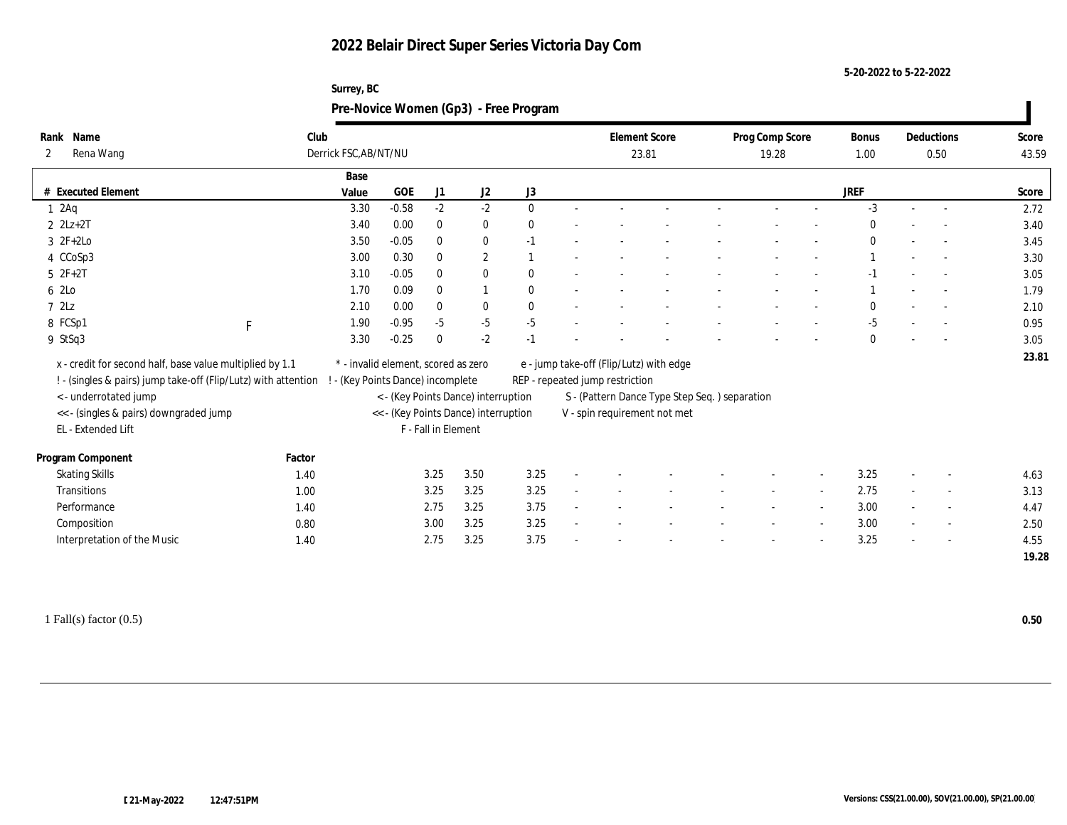**5-20-2022 to 5-22-2022**

| Surrey, BC                            |
|---------------------------------------|
| Pre-Novice Women (Gp3) - Free Program |

| Rank Name                                                      | Club   |                                     |         |                     |                                                                             |              |                                 | <b>Element Score</b>                          |  | Prog Comp Score |                          | Bonus        |                          | Deductions               | Score |
|----------------------------------------------------------------|--------|-------------------------------------|---------|---------------------|-----------------------------------------------------------------------------|--------------|---------------------------------|-----------------------------------------------|--|-----------------|--------------------------|--------------|--------------------------|--------------------------|-------|
| Rena Wang<br>2                                                 |        | Derrick FSC, AB/NT/NU               |         |                     |                                                                             |              | 23.81                           |                                               |  | 19.28           | 1.00                     | 0.50         |                          | 43.59                    |       |
|                                                                |        | Base                                |         |                     |                                                                             |              |                                 |                                               |  |                 |                          |              |                          |                          |       |
| # Executed Element                                             |        | Value                               | GOE     | J1                  | J2                                                                          | J3           |                                 |                                               |  |                 |                          | JREF         |                          |                          | Score |
| 12Aq                                                           |        | 3.30                                | $-0.58$ | $-2$                | $-2$                                                                        | $\mathbf{0}$ |                                 |                                               |  |                 |                          | $-3$         |                          | $\sim$                   | 2.72  |
| $2$ $2Lz+2T$                                                   |        | 3.40                                | 0.00    | $\bf{0}$            | $\bf{0}$                                                                    | $\mathbf{0}$ |                                 |                                               |  |                 |                          | $\bf{0}$     |                          |                          | 3.40  |
| $3 \t2F+2Lo$                                                   |        | 3.50                                | $-0.05$ | $\bf{0}$            | $\bf{0}$                                                                    | $-1$         |                                 |                                               |  |                 |                          | $\mathbf{0}$ | $\overline{\phantom{a}}$ | $\overline{\phantom{a}}$ | 3.45  |
| 4 CCoSp3                                                       |        | 3.00                                | 0.30    | $\mathbf{0}$        | $\mathbf{2}$                                                                |              |                                 |                                               |  |                 |                          |              |                          |                          | 3.30  |
| $5 2F+2T$                                                      |        | 3.10                                | $-0.05$ | $\mathbf{0}$        | $\bf{0}$                                                                    | $\mathbf{0}$ |                                 |                                               |  |                 |                          | $-1$         |                          | $\overline{\phantom{a}}$ | 3.05  |
| 6 2Lo                                                          |        | 1.70                                | 0.09    | $\mathbf{0}$        | 1                                                                           | $\mathbf{0}$ |                                 |                                               |  |                 |                          |              |                          |                          | 1.79  |
| 72Lz                                                           |        | 2.10                                | 0.00    | $\bf{0}$            | $\bf{0}$                                                                    | $\mathbf{0}$ |                                 |                                               |  |                 |                          | $\mathbf{0}$ |                          |                          | 2.10  |
| 8 FCSp1<br>F                                                   |        | 1.90                                | $-0.95$ | $-5$                | $-5$                                                                        | $-5$         |                                 |                                               |  |                 |                          | $-5$         |                          |                          | 0.95  |
| 9 StSq3                                                        |        | 3.30                                | $-0.25$ | $\theta$            | $-2$                                                                        | $-1$         |                                 |                                               |  |                 |                          | $\mathbf{0}$ |                          |                          | 3.05  |
|                                                                |        | * - invalid element, scored as zero |         |                     |                                                                             |              |                                 |                                               |  |                 |                          |              |                          |                          | 23.81 |
| x - credit for second half, base value multiplied by 1.1       |        |                                     |         |                     |                                                                             |              |                                 | e - jump take-off (Flip/Lutz) with edge       |  |                 |                          |              |                          |                          |       |
| ! - (singles & pairs) jump take-off (Flip/Lutz) with attention |        | ! - (Key Points Dance) incomplete   |         |                     |                                                                             |              | REP - repeated jump restriction |                                               |  |                 |                          |              |                          |                          |       |
| <- underrotated jump<br><< - (singles & pairs) downgraded jump |        |                                     |         |                     | < - (Key Points Dance) interruption<br><< - (Key Points Dance) interruption |              |                                 | S - (Pattern Dance Type Step Seq.) separation |  |                 |                          |              |                          |                          |       |
| EL - Extended Lift                                             |        |                                     |         | F - Fall in Element |                                                                             |              |                                 | V - spin requirement not met                  |  |                 |                          |              |                          |                          |       |
|                                                                |        |                                     |         |                     |                                                                             |              |                                 |                                               |  |                 |                          |              |                          |                          |       |
| Program Component                                              | Factor |                                     |         |                     |                                                                             |              |                                 |                                               |  |                 |                          |              |                          |                          |       |
| <b>Skating Skills</b>                                          | 1.40   |                                     |         | 3.25                | 3.50                                                                        | 3.25         |                                 |                                               |  |                 |                          | 3.25         |                          | $\overline{\phantom{a}}$ | 4.63  |
| Transitions                                                    | 1.00   |                                     |         | 3.25                | 3.25                                                                        | 3.25         |                                 |                                               |  |                 |                          | 2.75         | $\sim$                   | $\overline{\phantom{a}}$ | 3.13  |
| Performance                                                    | 1.40   |                                     |         | 2.75                | 3.25                                                                        | 3.75         |                                 |                                               |  |                 |                          | 3.00         |                          | $\overline{\phantom{a}}$ | 4.47  |
| Composition                                                    | 0.80   |                                     |         | 3.00                | 3.25                                                                        | 3.25         |                                 |                                               |  |                 | $\overline{\phantom{a}}$ | 3.00         |                          | $\sim$                   | 2.50  |
| Interpretation of the Music                                    | 1.40   |                                     |         | 2.75                | 3.25                                                                        | 3.75         |                                 |                                               |  |                 |                          | 3.25         |                          |                          | 4.55  |
|                                                                |        |                                     |         |                     |                                                                             |              |                                 |                                               |  |                 |                          |              |                          |                          | 19.28 |

1 Fall(s) factor (0.5) **0.50**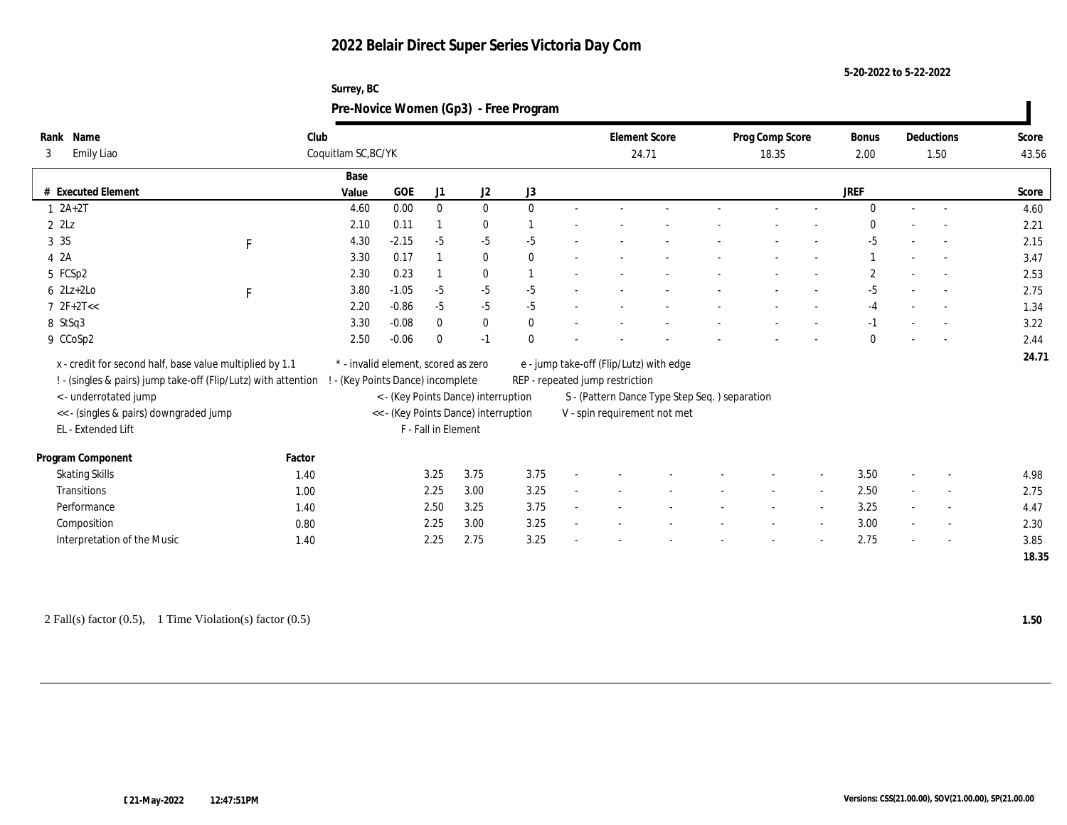| Surrey, BC                            |
|---------------------------------------|
| Pre-Novice Women (Gp3) - Free Program |

| Rank Name               |                                                                                         | Club   |                                                                             |         |                     |              |              |  |                                                                               | <b>Element Score</b>                    |  | Prog Comp Score |                          | <b>Bonus</b> |      | Deductions               | Score |  |
|-------------------------|-----------------------------------------------------------------------------------------|--------|-----------------------------------------------------------------------------|---------|---------------------|--------------|--------------|--|-------------------------------------------------------------------------------|-----------------------------------------|--|-----------------|--------------------------|--------------|------|--------------------------|-------|--|
| 3                       | Emily Liao                                                                              |        | Coquitlam SC, BC/YK                                                         |         |                     |              |              |  | 24.71                                                                         |                                         |  | 18.35           | 2.00                     |              | 1.50 | 43.56                    |       |  |
|                         |                                                                                         |        | Base                                                                        |         |                     |              |              |  |                                                                               |                                         |  |                 |                          |              |      |                          |       |  |
|                         | # Executed Element                                                                      |        | Value                                                                       | GOE     | J1                  | J2           | J3           |  |                                                                               |                                         |  |                 |                          | JREF         |      |                          | Score |  |
| $1 2A+2T$               |                                                                                         |        | 4.60                                                                        | 0.00    | $\bf{0}$            | $\bf{0}$     | $\theta$     |  |                                                                               |                                         |  |                 |                          | $\Omega$     |      | $\sim$                   | 4.60  |  |
| $2$ $2\text{L}z$        |                                                                                         |        | 2.10                                                                        | 0.11    |                     | $\bf{0}$     |              |  |                                                                               |                                         |  |                 |                          | $\Omega$     |      |                          | 2.21  |  |
| 3 3 S                   | F                                                                                       |        | 4.30                                                                        | $-2.15$ | $-5$                | $-5$         | $-5$         |  |                                                                               |                                         |  |                 |                          | $-5$         |      | $\overline{\phantom{a}}$ | 2.15  |  |
| 4 2A                    |                                                                                         |        | 3.30                                                                        | 0.17    |                     | $\bf{0}$     | $\mathbf{0}$ |  |                                                                               |                                         |  |                 |                          |              |      |                          | 3.47  |  |
| 5 FCSp2                 |                                                                                         |        | 2.30                                                                        | 0.23    |                     | $\mathbf{0}$ |              |  |                                                                               |                                         |  |                 |                          | $\mathbf{2}$ |      | $\overline{\phantom{a}}$ | 2.53  |  |
| $6$ 2Lz+2Lo             | F                                                                                       |        | 3.80                                                                        | $-1.05$ | $-5$                | $-5$         | $-5$         |  |                                                                               |                                         |  |                 |                          | $-5$         |      |                          | 2.75  |  |
| $7 \text{ } 2F + 2T <<$ |                                                                                         |        | 2.20                                                                        | $-0.86$ | $-5$                | $-5$         | $-5$         |  |                                                                               |                                         |  |                 |                          | $-4$         |      | $\overline{\phantom{a}}$ | 1.34  |  |
| 8 StSq3                 |                                                                                         |        | 3.30                                                                        | $-0.08$ | $\mathbf{0}$        | $\bf{0}$     | $\mathbf{0}$ |  |                                                                               |                                         |  |                 |                          | $-1$         |      |                          | 3.22  |  |
| 9 CCoSp2                |                                                                                         |        | 2.50                                                                        | $-0.06$ | $\theta$            | $-1$         | $\mathbf{0}$ |  |                                                                               |                                         |  |                 |                          | $\Omega$     |      | $\overline{a}$           | 2.44  |  |
|                         | x - credit for second half, base value multiplied by 1.1                                |        | * - invalid element, scored as zero                                         |         |                     |              |              |  |                                                                               | e - jump take-off (Flip/Lutz) with edge |  |                 |                          |              |      |                          | 24.71 |  |
|                         |                                                                                         |        | ! - (Key Points Dance) incomplete                                           |         |                     |              |              |  |                                                                               |                                         |  |                 |                          |              |      |                          |       |  |
|                         | ! - (singles & pairs) jump take-off (Flip/Lutz) with attention<br>< - underrotated jump |        |                                                                             |         |                     |              |              |  | REP - repeated jump restriction                                               |                                         |  |                 |                          |              |      |                          |       |  |
|                         | << - (singles & pairs) downgraded jump                                                  |        | < - (Key Points Dance) interruption<br><< - (Key Points Dance) interruption |         |                     |              |              |  | S - (Pattern Dance Type Step Seq.) separation<br>V - spin requirement not met |                                         |  |                 |                          |              |      |                          |       |  |
|                         | EL - Extended Lift                                                                      |        |                                                                             |         | F - Fall in Element |              |              |  |                                                                               |                                         |  |                 |                          |              |      |                          |       |  |
|                         |                                                                                         |        |                                                                             |         |                     |              |              |  |                                                                               |                                         |  |                 |                          |              |      |                          |       |  |
|                         | Program Component                                                                       | Factor |                                                                             |         |                     |              |              |  |                                                                               |                                         |  |                 |                          |              |      |                          |       |  |
|                         | <b>Skating Skills</b>                                                                   | 1.40   |                                                                             |         | 3.25                | 3.75         | 3.75         |  |                                                                               |                                         |  |                 | $\overline{\phantom{a}}$ | 3.50         |      | $\overline{\phantom{a}}$ | 4.98  |  |
|                         | Transitions                                                                             | 1.00   |                                                                             |         | 2.25                | 3.00         | 3.25         |  |                                                                               |                                         |  |                 |                          | 2.50         |      | $\overline{\phantom{a}}$ | 2.75  |  |
|                         | Performance                                                                             | 1.40   |                                                                             |         | 2.50                | 3.25         | 3.75         |  |                                                                               |                                         |  |                 |                          | 3.25         |      | $\overline{\phantom{a}}$ | 4.47  |  |
|                         | Composition                                                                             | 0.80   |                                                                             |         | 2.25                | 3.00         | 3.25         |  |                                                                               |                                         |  |                 | $\sim$                   | 3.00         |      | $\sim$                   | 2.30  |  |
|                         | Interpretation of the Music                                                             | 1.40   |                                                                             |         | 2.25                | 2.75         | 3.25         |  |                                                                               |                                         |  |                 |                          | 2.75         |      |                          | 3.85  |  |
|                         |                                                                                         |        |                                                                             |         |                     |              |              |  |                                                                               |                                         |  |                 |                          |              |      |                          | 18.35 |  |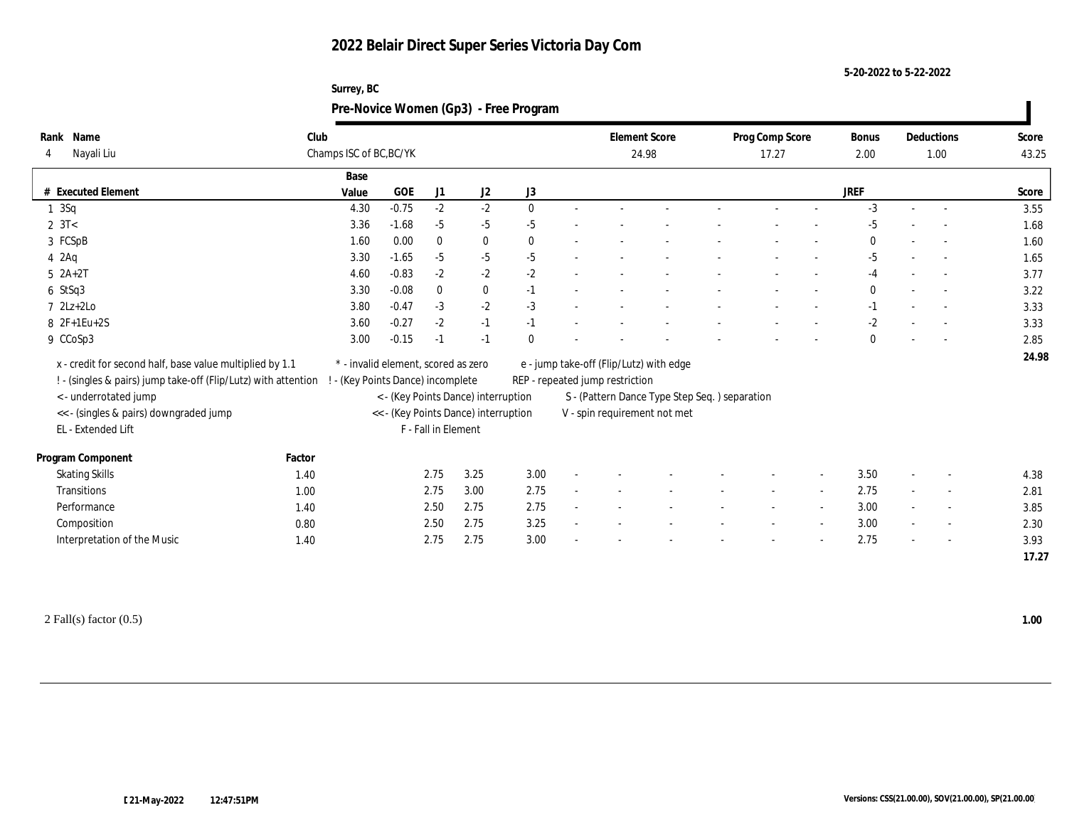| Surrey, BC                            |
|---------------------------------------|
| Pre-Novice Women (Gp3) - Free Program |

| Rank Name<br>Nayali Liu<br>4                                   | Club   | Champs ISC of BC, BC/YK                                                     |         |                     |          |              |                                                                                  | <b>Element Score</b><br>24.98 |                                         |  | Prog Comp Score<br>17.27 |        | Bonus<br>2.00 |  | Deductions<br>1.00       | Score<br>43.25 |  |
|----------------------------------------------------------------|--------|-----------------------------------------------------------------------------|---------|---------------------|----------|--------------|----------------------------------------------------------------------------------|-------------------------------|-----------------------------------------|--|--------------------------|--------|---------------|--|--------------------------|----------------|--|
|                                                                |        | Base                                                                        |         |                     |          |              |                                                                                  |                               |                                         |  |                          |        |               |  |                          |                |  |
| # Executed Element                                             |        | Value                                                                       | GOE     | J1                  | J2       | J3           |                                                                                  |                               |                                         |  |                          |        | <b>JREF</b>   |  |                          | Score          |  |
| $1 \quad 3Sq$                                                  |        | 4.30                                                                        | $-0.75$ | $-2$                | $-2$     | $\mathbf{0}$ |                                                                                  |                               |                                         |  |                          |        | $-3$          |  | $\sim$                   | 3.55           |  |
| $2 \, 3T <$                                                    |        | 3.36                                                                        | $-1.68$ | $-5$                | $-5$     | $-5$         |                                                                                  |                               |                                         |  |                          |        | $-5$          |  |                          | 1.68           |  |
| 3 FCSpB                                                        |        | 1.60                                                                        | 0.00    | $\mathbf{0}$        | $\bf{0}$ | $\mathbf{0}$ |                                                                                  |                               |                                         |  |                          |        | $\mathbf{0}$  |  |                          | 1.60           |  |
| $4\,2\text{Ag}$                                                |        | 3.30                                                                        | $-1.65$ | $-5$                | $-5$     | $-5$         |                                                                                  |                               |                                         |  |                          |        | -5            |  |                          | 1.65           |  |
| $5 \text{ } 2A+2T$                                             |        | 4.60                                                                        | $-0.83$ | $-2$                | $-2$     | $-2$         |                                                                                  |                               |                                         |  |                          |        | $-4$          |  | $\sim$                   | 3.77           |  |
| $6$ StSq3                                                      |        | 3.30                                                                        | $-0.08$ | $\mathbf{0}$        | $\bf{0}$ | $-1$         |                                                                                  |                               |                                         |  |                          |        | $\bf{0}$      |  |                          | 3.22           |  |
| $7 \text{ } 2Lz+2Lo$                                           |        | 3.80                                                                        | $-0.47$ | $-3$                | $-2$     | $-3$         |                                                                                  |                               |                                         |  |                          |        | $-1$          |  |                          | 3.33           |  |
| 8 2F+1Eu+2S                                                    |        | 3.60                                                                        | $-0.27$ | $-2$                | $-1$     | $-1$         |                                                                                  |                               |                                         |  |                          |        | $-2$          |  |                          | 3.33           |  |
| 9 CCoSp3                                                       |        | 3.00                                                                        | $-0.15$ | $-1$                | $-1$     | $\Omega$     |                                                                                  |                               |                                         |  |                          |        | $\theta$      |  |                          | 2.85           |  |
| x - credit for second half, base value multiplied by 1.1       |        | * - invalid element, scored as zero                                         |         |                     |          |              |                                                                                  |                               | e - jump take-off (Flip/Lutz) with edge |  |                          |        |               |  |                          | 24.98          |  |
| ! - (singles & pairs) jump take-off (Flip/Lutz) with attention |        | ! - (Key Points Dance) incomplete                                           |         |                     |          |              |                                                                                  |                               |                                         |  |                          |        |               |  |                          |                |  |
| < - underrotated jump                                          |        |                                                                             |         |                     |          |              | REP - repeated jump restriction<br>S - (Pattern Dance Type Step Seq.) separation |                               |                                         |  |                          |        |               |  |                          |                |  |
| <<- (singles & pairs) downgraded jump                          |        | < - (Key Points Dance) interruption<br><< - (Key Points Dance) interruption |         |                     |          |              |                                                                                  | V - spin requirement not met  |                                         |  |                          |        |               |  |                          |                |  |
| EL - Extended Lift                                             |        |                                                                             |         | F - Fall in Element |          |              |                                                                                  |                               |                                         |  |                          |        |               |  |                          |                |  |
|                                                                |        |                                                                             |         |                     |          |              |                                                                                  |                               |                                         |  |                          |        |               |  |                          |                |  |
| Program Component                                              | Factor |                                                                             |         |                     |          |              |                                                                                  |                               |                                         |  |                          |        |               |  |                          |                |  |
| <b>Skating Skills</b>                                          | 1.40   |                                                                             |         | 2.75                | 3.25     | 3.00         |                                                                                  |                               |                                         |  |                          | $\sim$ | 3.50          |  | $\overline{\phantom{a}}$ | 4.38           |  |
| Transitions                                                    | 1.00   |                                                                             |         | 2.75                | 3.00     | 2.75         |                                                                                  |                               |                                         |  |                          |        | 2.75          |  | $\sim$                   | 2.81           |  |
| Performance                                                    | 1.40   |                                                                             |         | 2.50                | 2.75     | 2.75         |                                                                                  |                               |                                         |  |                          |        | 3.00          |  | $\overline{\phantom{a}}$ | 3.85           |  |
| Composition                                                    | 0.80   |                                                                             |         | 2.50                | 2.75     | 3.25         |                                                                                  |                               |                                         |  |                          |        | 3.00          |  | $\sim$                   | 2.30           |  |
| Interpretation of the Music                                    | 1.40   |                                                                             |         | 2.75                | 2.75     | 3.00         |                                                                                  |                               |                                         |  |                          |        | 2.75          |  |                          | 3.93           |  |
|                                                                |        |                                                                             |         |                     |          |              |                                                                                  |                               |                                         |  |                          |        |               |  |                          | 17.27          |  |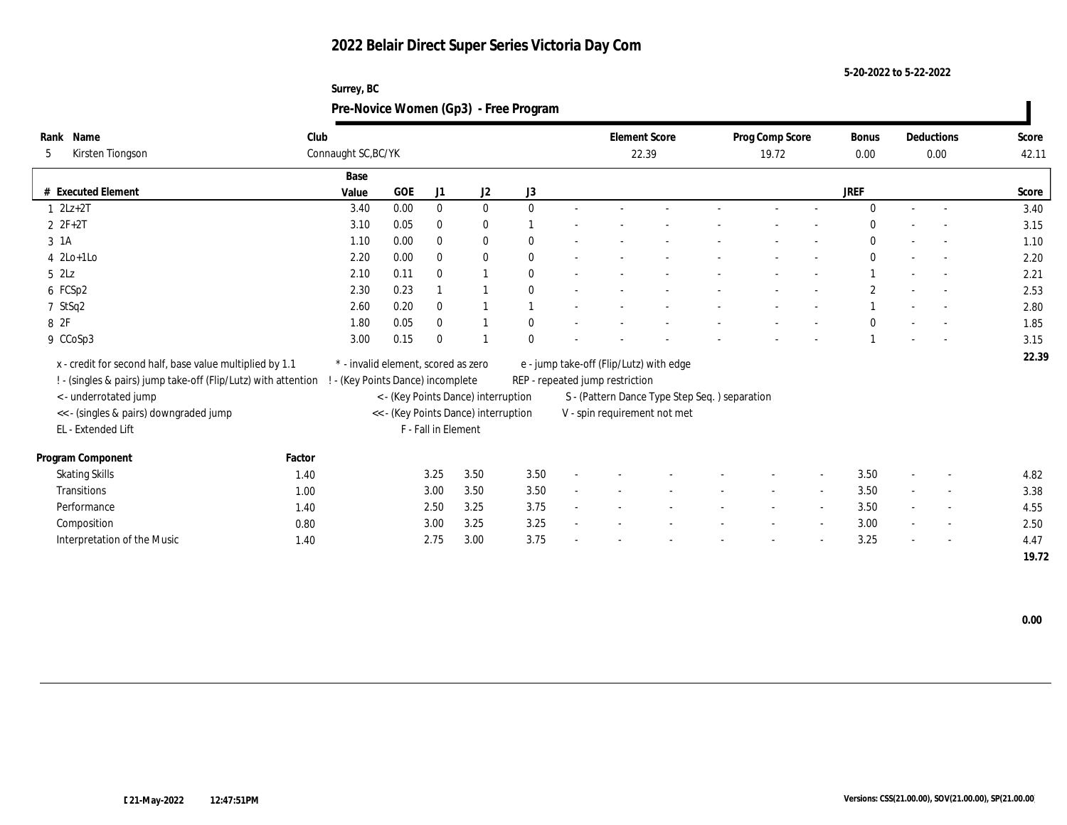| Surrey, BC                            |
|---------------------------------------|
| Pre-Novice Women (Gp3) - Free Program |

| Name<br>Rank                                                   | Club   |                                     |      |                     |                                      |              | <b>Element Score</b>            |                                               | Prog Comp Score | <b>Bonus</b> | Deductions               | Score |
|----------------------------------------------------------------|--------|-------------------------------------|------|---------------------|--------------------------------------|--------------|---------------------------------|-----------------------------------------------|-----------------|--------------|--------------------------|-------|
| Kirsten Tiongson<br>5                                          |        | Connaught SC, BC/YK                 |      |                     |                                      |              |                                 | 22.39                                         | 19.72           | 0.00         | 0.00                     | 42.11 |
|                                                                |        | Base                                |      |                     |                                      |              |                                 |                                               |                 |              |                          |       |
| # Executed Element                                             |        | Value                               | GOE  | J1                  | J2                                   | J3           |                                 |                                               |                 | JREF         |                          | Score |
| $1 \quad 2Lz+2T$                                               |        | 3.40                                | 0.00 | $\bf{0}$            | $\bf{0}$                             | $\mathbf{0}$ |                                 |                                               |                 | $\Omega$     |                          | 3.40  |
| $2 F+2T$                                                       |        | 3.10                                | 0.05 | $\bf{0}$            | $\bf{0}$                             |              |                                 |                                               |                 | $\bf{0}$     |                          | 3.15  |
| 3 1A                                                           |        | 1.10                                | 0.00 | $\mathbf{0}$        | $\bf{0}$                             | $\theta$     |                                 |                                               |                 | $\mathbf{0}$ | $\sim$                   | 1.10  |
| $4$ 2Lo+1Lo                                                    |        | 2.20                                | 0.00 | $\mathbf{0}$        | $\bf{0}$                             | $\mathbf{0}$ |                                 |                                               |                 | $\mathbf{0}$ |                          | 2.20  |
| $5$ $2\text{L}z$                                               |        | 2.10                                | 0.11 | $\theta$            | $\overline{1}$                       | $\theta$     |                                 |                                               |                 |              | $\sim$                   | 2.21  |
| 6 FCSp2                                                        |        | 2.30                                | 0.23 |                     |                                      | $\mathbf{0}$ |                                 |                                               |                 | $\mathbf{2}$ |                          | 2.53  |
| 7 StSq2                                                        |        | 2.60                                | 0.20 | $\mathbf{0}$        | $\overline{1}$                       |              |                                 |                                               |                 |              |                          | 2.80  |
| 8 2F                                                           |        | 1.80                                | 0.05 | $\bf{0}$            |                                      | $\theta$     |                                 |                                               |                 | $\bf{0}$     |                          | 1.85  |
| 9 CCoSp3                                                       |        | 3.00                                | 0.15 | $\theta$            |                                      | $\Omega$     |                                 |                                               |                 |              |                          | 3.15  |
| x - credit for second half, base value multiplied by 1.1       |        | * - invalid element, scored as zero |      |                     |                                      |              |                                 | e - jump take-off (Flip/Lutz) with edge       |                 |              |                          | 22.39 |
| ! - (singles & pairs) jump take-off (Flip/Lutz) with attention |        | ! - (Key Points Dance) incomplete   |      |                     |                                      |              | REP - repeated jump restriction |                                               |                 |              |                          |       |
| <- underrotated jump                                           |        |                                     |      |                     | < - (Key Points Dance) interruption  |              |                                 | S - (Pattern Dance Type Step Seq.) separation |                 |              |                          |       |
| << - (singles & pairs) downgraded jump                         |        |                                     |      |                     | << - (Key Points Dance) interruption |              |                                 | V - spin requirement not met                  |                 |              |                          |       |
| EL - Extended Lift                                             |        |                                     |      | F - Fall in Element |                                      |              |                                 |                                               |                 |              |                          |       |
|                                                                |        |                                     |      |                     |                                      |              |                                 |                                               |                 |              |                          |       |
| Program Component                                              | Factor |                                     |      |                     |                                      |              |                                 |                                               |                 |              |                          |       |
| <b>Skating Skills</b>                                          | 1.40   |                                     |      | 3.25                | 3.50                                 | 3.50         |                                 |                                               |                 | 3.50         | $\overline{\phantom{a}}$ | 4.82  |
| Transitions                                                    | 1.00   |                                     |      | 3.00                | 3.50                                 | 3.50         |                                 |                                               |                 | 3.50         | $\overline{\phantom{a}}$ | 3.38  |
| Performance                                                    | 1.40   |                                     |      | 2.50                | 3.25                                 | 3.75         |                                 |                                               |                 | 3.50         | $\sim$                   | 4.55  |
| Composition                                                    | 0.80   |                                     |      | 3.00                | 3.25                                 | 3.25         |                                 |                                               |                 | 3.00         | $\sim$                   | 2.50  |
| Interpretation of the Music                                    | 1.40   |                                     |      | 2.75                | 3.00                                 | 3.75         |                                 |                                               |                 | 3.25         |                          | 4.47  |
|                                                                |        |                                     |      |                     |                                      |              |                                 |                                               |                 |              |                          | 19.72 |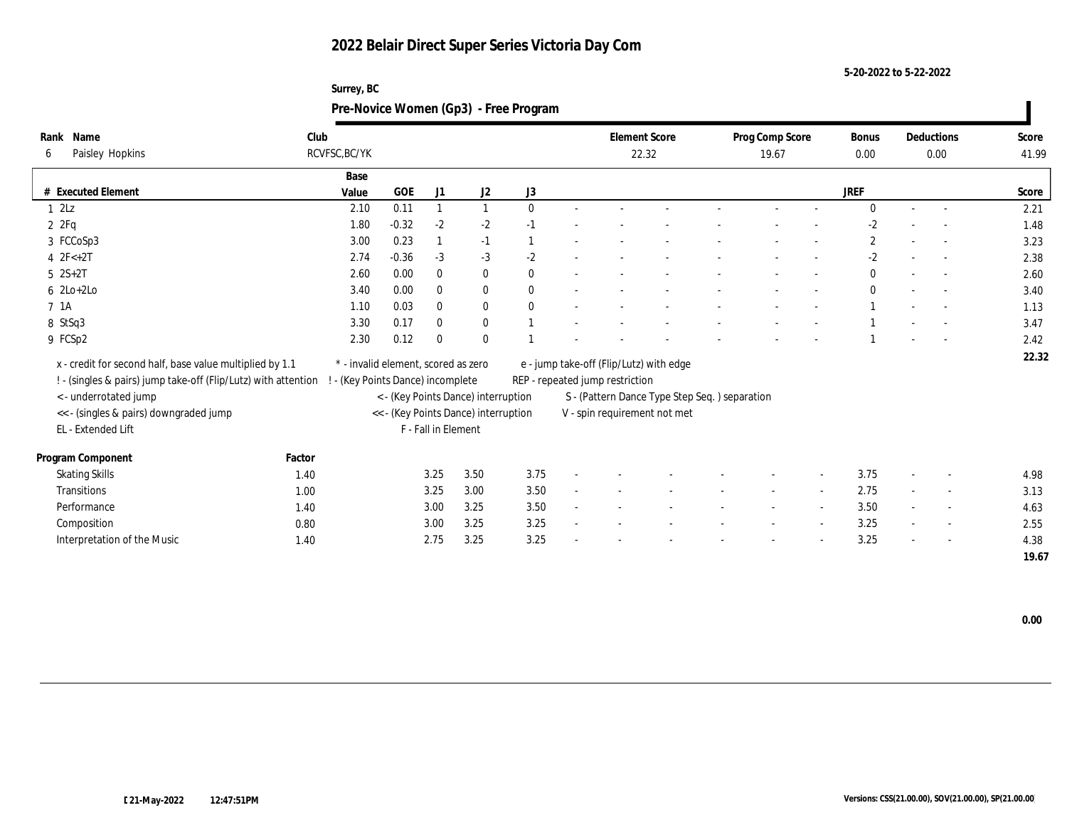| Surrey, BC                            |
|---------------------------------------|
| Pre-Novice Women (Gp3) - Free Program |

| Name<br>Rank                                                   | Club   |                                                                             |         |                     |              |              |  |                                                                               | <b>Element Score</b>                    |  | Prog Comp Score |                          | <b>Bonus</b>     |  | Deductions               | Score |  |
|----------------------------------------------------------------|--------|-----------------------------------------------------------------------------|---------|---------------------|--------------|--------------|--|-------------------------------------------------------------------------------|-----------------------------------------|--|-----------------|--------------------------|------------------|--|--------------------------|-------|--|
| Paisley Hopkins<br>6                                           |        | RCVFSC, BC/YK                                                               |         |                     |              |              |  |                                                                               | 22.32                                   |  | 19.67           |                          | $0.00\,$         |  | 0.00                     | 41.99 |  |
|                                                                |        | Base                                                                        |         |                     |              |              |  |                                                                               |                                         |  |                 |                          |                  |  |                          |       |  |
| # Executed Element                                             |        | Value                                                                       | GOE     | J <sub>1</sub>      | J2           | J3           |  |                                                                               |                                         |  |                 |                          | JREF             |  |                          | Score |  |
| 12Lz                                                           |        | 2.10                                                                        | 0.11    |                     | 1            | $\mathbf{0}$ |  |                                                                               |                                         |  |                 |                          | $\Omega$         |  | $\sim$                   | 2.21  |  |
| 2Pq                                                            |        | 1.80                                                                        | $-0.32$ | $-2$                | $-2$         | $-1$         |  |                                                                               |                                         |  |                 |                          | $-2$             |  |                          | 1.48  |  |
| 3 FCCoSp3                                                      |        | 3.00                                                                        | 0.23    |                     | $-1$         |              |  |                                                                               |                                         |  |                 |                          | $\boldsymbol{2}$ |  | $\overline{\phantom{a}}$ | 3.23  |  |
| 4 $2F<+2T$                                                     |        | 2.74                                                                        | $-0.36$ | $-3$                | $-3$         | $-2$         |  |                                                                               |                                         |  |                 |                          | $-2$             |  |                          | 2.38  |  |
| $5 \quad 2S+2T$                                                |        | 2.60                                                                        | 0.00    | $\mathbf{0}$        | $\bf{0}$     | $\theta$     |  |                                                                               |                                         |  |                 |                          | $\mathbf{0}$     |  | $\overline{\phantom{a}}$ | 2.60  |  |
| $6$ 2Lo+2Lo                                                    |        | 3.40                                                                        | 0.00    | $\bf{0}$            | $\bf{0}$     | $\mathbf{0}$ |  |                                                                               |                                         |  |                 |                          | $\mathbf{0}$     |  |                          | 3.40  |  |
| 7 1A                                                           |        | 1.10                                                                        | 0.03    | $\bf{0}$            | $\bf{0}$     | $\mathbf{0}$ |  |                                                                               |                                         |  |                 |                          |                  |  |                          | 1.13  |  |
| 8 StSq3                                                        |        | 3.30                                                                        | 0.17    | $\mathbf{0}$        | $\mathbf{0}$ |              |  |                                                                               |                                         |  |                 |                          |                  |  |                          | 3.47  |  |
| 9 FCSp2                                                        |        | 2.30                                                                        | 0.12    | $\bf{0}$            | $\mathbf{0}$ |              |  |                                                                               |                                         |  |                 |                          |                  |  |                          | 2.42  |  |
| x - credit for second half, base value multiplied by 1.1       |        | * - invalid element, scored as zero                                         |         |                     |              |              |  |                                                                               | e - jump take-off (Flip/Lutz) with edge |  |                 |                          |                  |  |                          | 22.32 |  |
|                                                                |        |                                                                             |         |                     |              |              |  |                                                                               |                                         |  |                 |                          |                  |  |                          |       |  |
| ! - (singles & pairs) jump take-off (Flip/Lutz) with attention |        | - (Key Points Dance) incomplete                                             |         |                     |              |              |  | REP - repeated jump restriction                                               |                                         |  |                 |                          |                  |  |                          |       |  |
| < - underrotated jump                                          |        | < - (Key Points Dance) interruption<br><< - (Key Points Dance) interruption |         |                     |              |              |  | S - (Pattern Dance Type Step Seq.) separation<br>V - spin requirement not met |                                         |  |                 |                          |                  |  |                          |       |  |
| <<- (singles & pairs) downgraded jump<br>EL - Extended Lift    |        |                                                                             |         | F - Fall in Element |              |              |  |                                                                               |                                         |  |                 |                          |                  |  |                          |       |  |
|                                                                |        |                                                                             |         |                     |              |              |  |                                                                               |                                         |  |                 |                          |                  |  |                          |       |  |
| Program Component                                              | Factor |                                                                             |         |                     |              |              |  |                                                                               |                                         |  |                 |                          |                  |  |                          |       |  |
| <b>Skating Skills</b>                                          | 1.40   |                                                                             |         | 3.25                | 3.50         | 3.75         |  |                                                                               |                                         |  |                 | $\overline{\phantom{a}}$ | 3.75             |  | $\overline{\phantom{a}}$ | 4.98  |  |
| Transitions                                                    | 1.00   |                                                                             |         | 3.25                | 3.00         | 3.50         |  |                                                                               |                                         |  |                 |                          | 2.75             |  | $\overline{\phantom{a}}$ | 3.13  |  |
| Performance                                                    | 1.40   |                                                                             |         | 3.00                | 3.25         | 3.50         |  |                                                                               |                                         |  |                 |                          | 3.50             |  | $\overline{\phantom{a}}$ | 4.63  |  |
| Composition                                                    | 0.80   |                                                                             |         | 3.00                | 3.25         | 3.25         |  |                                                                               |                                         |  |                 | $\overline{\phantom{a}}$ | 3.25             |  | $\sim$                   | 2.55  |  |
| Interpretation of the Music                                    | 1.40   |                                                                             |         | 2.75                | 3.25         | 3.25         |  |                                                                               |                                         |  |                 |                          | 3.25             |  | $\overline{\phantom{a}}$ | 4.38  |  |
|                                                                |        |                                                                             |         |                     |              |              |  |                                                                               |                                         |  |                 |                          |                  |  |                          | 19.67 |  |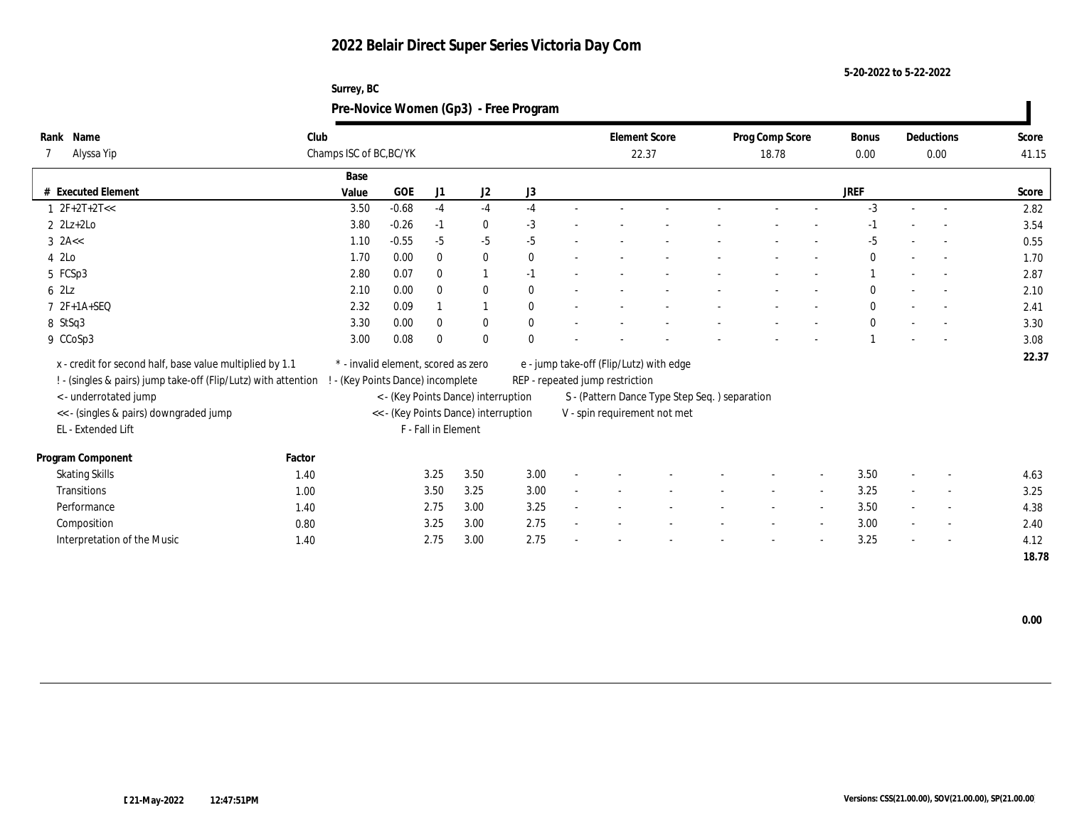| Surrey, BC                            |  |
|---------------------------------------|--|
| Pre-Novice Women (Gp3) - Free Program |  |

| Name<br>Rank                                                   | Club   |                                     |         |                     |                                      |              |                                 | <b>Element Score</b>                          | Prog Comp Score |                | <b>Bonus</b> | Deductions               | Score |
|----------------------------------------------------------------|--------|-------------------------------------|---------|---------------------|--------------------------------------|--------------|---------------------------------|-----------------------------------------------|-----------------|----------------|--------------|--------------------------|-------|
| Alyssa Yip                                                     |        | Champs ISC of BC, BC/YK             |         |                     |                                      |              |                                 | 22.37                                         | 18.78           |                | 0.00         | 0.00                     | 41.15 |
|                                                                |        | Base                                |         |                     |                                      |              |                                 |                                               |                 |                |              |                          |       |
| # Executed Element                                             |        | Value                               | GOE     | J1                  | J2                                   | J3           |                                 |                                               |                 |                | JREF         |                          | Score |
| $1 \ 2F+2T+2T<<$                                               |        | 3.50                                | $-0.68$ | $-4$                | $-4$                                 | $-4$         |                                 |                                               |                 |                | $-3$         |                          | 2.82  |
| $2 \text{ } 2\text{Lz}+2\text{Lo}$                             |        | 3.80                                | $-0.26$ | $-1$                | $\bf{0}$                             | $-3$         |                                 |                                               |                 |                | -1           |                          | 3.54  |
| $3$ 2A <<                                                      |        | 1.10                                | $-0.55$ | $-5$                | $-5$                                 | $-5$         |                                 |                                               |                 |                | -5           |                          | 0.55  |
| 4 2Lo                                                          |        | 1.70                                | 0.00    | $\mathbf{0}$        | $\bf{0}$                             | $\mathbf{0}$ |                                 |                                               |                 |                | $\bf{0}$     |                          | 1.70  |
| 5 FCSp3                                                        |        | 2.80                                | 0.07    | $\theta$            | 1                                    | $-1$         |                                 |                                               |                 |                |              | $\sim$                   | 2.87  |
| 6 2Lz                                                          |        | 2.10                                | 0.00    | $\mathbf{0}$        | $\bf{0}$                             | $\mathbf{0}$ |                                 |                                               |                 |                | $\bf{0}$     |                          | 2.10  |
| 7 2F+1A+SEQ                                                    |        | 2.32                                | 0.09    |                     | $\mathbf{1}$                         | $\mathbf{0}$ |                                 |                                               |                 |                | $\mathbf{0}$ |                          | 2.41  |
| 8 StSq3                                                        |        | 3.30                                | 0.00    | $\bf{0}$            | $\bf{0}$                             | $\mathbf{0}$ |                                 |                                               |                 |                | $\mathbf{0}$ |                          | 3.30  |
| 9 CCoSp3                                                       |        | 3.00                                | 0.08    | $\theta$            | $\mathbf{0}$                         | $\mathbf{0}$ |                                 |                                               |                 |                |              |                          | 3.08  |
| x - credit for second half, base value multiplied by 1.1       |        | * - invalid element, scored as zero |         |                     |                                      |              |                                 | e - jump take-off (Flip/Lutz) with edge       |                 |                |              |                          | 22.37 |
| ! - (singles & pairs) jump take-off (Flip/Lutz) with attention |        | - (Key Points Dance) incomplete     |         |                     |                                      |              | REP - repeated jump restriction |                                               |                 |                |              |                          |       |
| < - underrotated jump                                          |        |                                     |         |                     | < - (Key Points Dance) interruption  |              |                                 | S - (Pattern Dance Type Step Seq.) separation |                 |                |              |                          |       |
| << - (singles & pairs) downgraded jump                         |        |                                     |         |                     | << - (Key Points Dance) interruption |              |                                 | V - spin requirement not met                  |                 |                |              |                          |       |
| EL - Extended Lift                                             |        |                                     |         | F - Fall in Element |                                      |              |                                 |                                               |                 |                |              |                          |       |
|                                                                |        |                                     |         |                     |                                      |              |                                 |                                               |                 |                |              |                          |       |
| Program Component                                              | Factor |                                     |         |                     |                                      |              |                                 |                                               |                 |                |              |                          |       |
| <b>Skating Skills</b>                                          | 1.40   |                                     |         | 3.25                | 3.50                                 | 3.00         |                                 |                                               |                 | $\overline{a}$ | 3.50         | $\sim$                   | 4.63  |
| Transitions                                                    | 1.00   |                                     |         | 3.50                | 3.25                                 | 3.00         |                                 |                                               |                 |                | 3.25         | $\overline{\phantom{a}}$ | 3.25  |
| Performance                                                    | 1.40   |                                     |         | 2.75                | 3.00                                 | 3.25         |                                 |                                               |                 |                | 3.50         | $\sim$                   | 4.38  |
| Composition                                                    | 0.80   |                                     |         | 3.25                | 3.00                                 | 2.75         |                                 |                                               |                 |                | 3.00         | $\sim$                   | 2.40  |
| Interpretation of the Music                                    | 1.40   |                                     |         | 2.75                | 3.00                                 | 2.75         |                                 |                                               |                 |                | 3.25         |                          | 4.12  |
|                                                                |        |                                     |         |                     |                                      |              |                                 |                                               |                 |                |              |                          | 18.78 |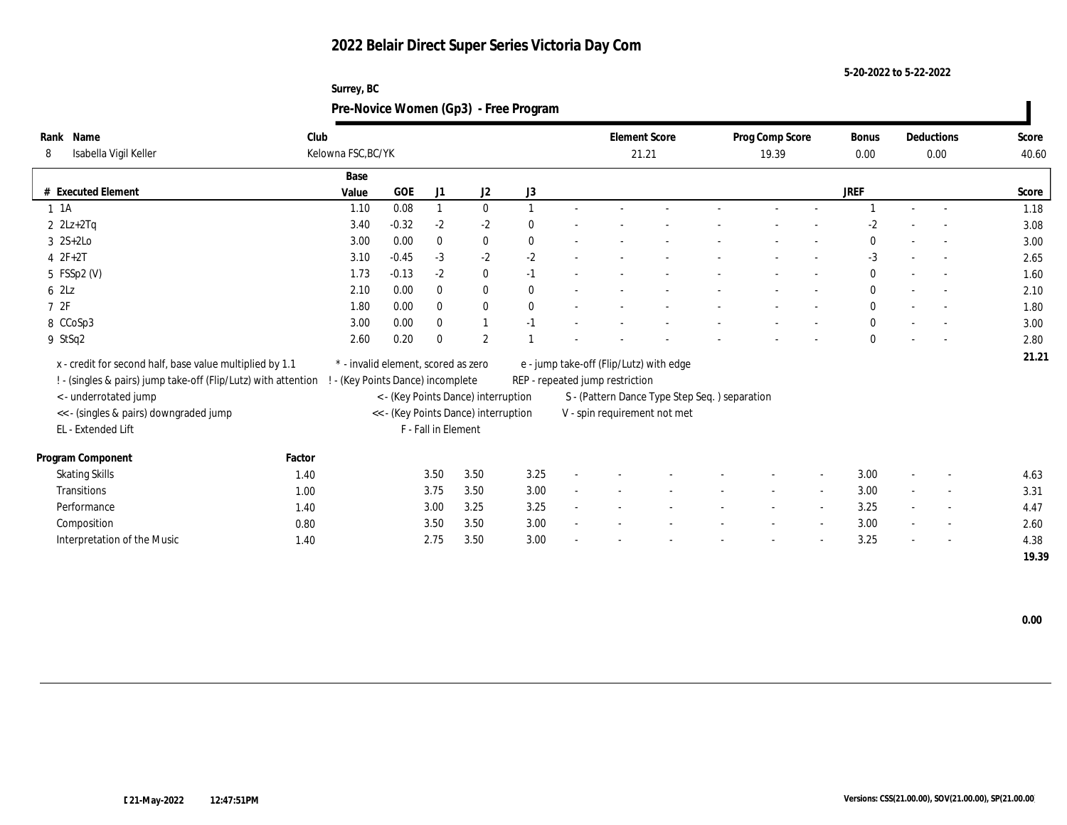**5-20-2022 to 5-22-2022**

## **Surrey, BC Pre-Novice Women (Gp3) - Free Program**

| Rank Name                                                      | Club   |                                     |            |                     |                                      |              | <b>Element Score</b>            |                                               | Prog Comp Score |                          | Bonus        | Deductions               | Score |
|----------------------------------------------------------------|--------|-------------------------------------|------------|---------------------|--------------------------------------|--------------|---------------------------------|-----------------------------------------------|-----------------|--------------------------|--------------|--------------------------|-------|
| Isabella Vigil Keller<br>8                                     |        | Kelowna FSC, BC/YK                  |            |                     |                                      |              | 21.21                           |                                               | 19.39           |                          | $0.00\,$     | 0.00                     | 40.60 |
|                                                                |        | Base                                |            |                     |                                      |              |                                 |                                               |                 |                          |              |                          |       |
| # Executed Element                                             |        | Value                               | <b>GOE</b> | J1                  | J2                                   | J3           |                                 |                                               |                 |                          | <b>JREF</b>  |                          | Score |
| $1 \t1A$                                                       |        | 1.10                                | 0.08       |                     | $\mathbf{0}$                         |              |                                 |                                               |                 |                          |              | $\overline{a}$           | 1.18  |
| $2$ $2Lz+2Tq$                                                  |        | 3.40                                | $-0.32$    | $-2$                | $-2$                                 | $\mathbf{0}$ |                                 |                                               |                 |                          | $-2$         |                          | 3.08  |
| $3 \quad 2S+2Lo$                                               |        | 3.00                                | 0.00       | $\bf{0}$            | $\bf{0}$                             | $\mathbf{0}$ |                                 |                                               |                 |                          | $\mathbf{0}$ | $\sim$                   | 3.00  |
| $42F+2T$                                                       |        | 3.10                                | $-0.45$    | $-3$                | $-2$                                 | $-2$         |                                 |                                               |                 |                          | $-3$         | $\overline{\phantom{a}}$ | 2.65  |
| 5 FSSp2 (V)                                                    |        | 1.73                                | $-0.13$    | $-2$                | $\bf{0}$                             | $-1$         |                                 |                                               |                 |                          | $\bf{0}$     | $\overline{\phantom{a}}$ | 1.60  |
| 62Lz                                                           |        | 2.10                                | 0.00       | $\mathbf{0}$        | $\bf{0}$                             | $\bf{0}$     |                                 |                                               |                 |                          | $\mathbf{0}$ | $\sim$                   | 2.10  |
| 7 2F                                                           |        | 1.80                                | 0.00       | $\bf{0}$            | $\bf{0}$                             | $\mathbf{0}$ |                                 |                                               |                 |                          | $\bf{0}$     | $\overline{a}$           | 1.80  |
| 8 CCoSp3                                                       |        | 3.00                                | 0.00       | $\bf{0}$            | 1                                    | $-1$         |                                 |                                               |                 |                          | $\mathbf{0}$ | $\overline{\phantom{a}}$ | 3.00  |
| 9 StSq2                                                        |        | 2.60                                | 0.20       | $\bf{0}$            | $\overline{2}$                       |              |                                 |                                               |                 |                          | $\mathbf{0}$ |                          | 2.80  |
| x - credit for second half, base value multiplied by 1.1       |        | * - invalid element, scored as zero |            |                     |                                      |              |                                 | e - jump take-off (Flip/Lutz) with edge       |                 |                          |              |                          | 21.21 |
| ! - (singles & pairs) jump take-off (Flip/Lutz) with attention |        | - (Key Points Dance) incomplete     |            |                     |                                      |              | REP - repeated jump restriction |                                               |                 |                          |              |                          |       |
| < - underrotated jump                                          |        |                                     |            |                     | < - (Key Points Dance) interruption  |              |                                 | S - (Pattern Dance Type Step Seq.) separation |                 |                          |              |                          |       |
| <<- (singles & pairs) downgraded jump                          |        |                                     |            |                     | << - (Key Points Dance) interruption |              |                                 | V - spin requirement not met                  |                 |                          |              |                          |       |
| EL - Extended Lift                                             |        |                                     |            | F - Fall in Element |                                      |              |                                 |                                               |                 |                          |              |                          |       |
|                                                                |        |                                     |            |                     |                                      |              |                                 |                                               |                 |                          |              |                          |       |
| Program Component                                              | Factor |                                     |            |                     |                                      |              |                                 |                                               |                 |                          |              |                          |       |
| <b>Skating Skills</b>                                          | 1.40   |                                     |            | 3.50                | 3.50                                 | 3.25         |                                 |                                               |                 | $\overline{\phantom{a}}$ | 3.00         | $\overline{\phantom{a}}$ | 4.63  |
| Transitions                                                    | 1.00   |                                     |            | 3.75                | 3.50                                 | 3.00         |                                 |                                               |                 |                          | 3.00         | $\overline{\phantom{a}}$ | 3.31  |
| Performance                                                    | 1.40   |                                     |            | 3.00                | 3.25                                 | 3.25         |                                 |                                               |                 |                          | 3.25         | $\overline{\phantom{a}}$ | 4.47  |
| Composition                                                    | 0.80   |                                     |            | 3.50                | 3.50                                 | 3.00         |                                 |                                               |                 | $\overline{a}$           | 3.00         | $\overline{\phantom{a}}$ | 2.60  |
| Interpretation of the Music                                    | 1.40   |                                     |            | 2.75                | 3.50                                 | 3.00         |                                 |                                               |                 |                          | 3.25         | $\overline{\phantom{a}}$ | 4.38  |
|                                                                |        |                                     |            |                     |                                      |              |                                 |                                               |                 |                          |              |                          | 19.39 |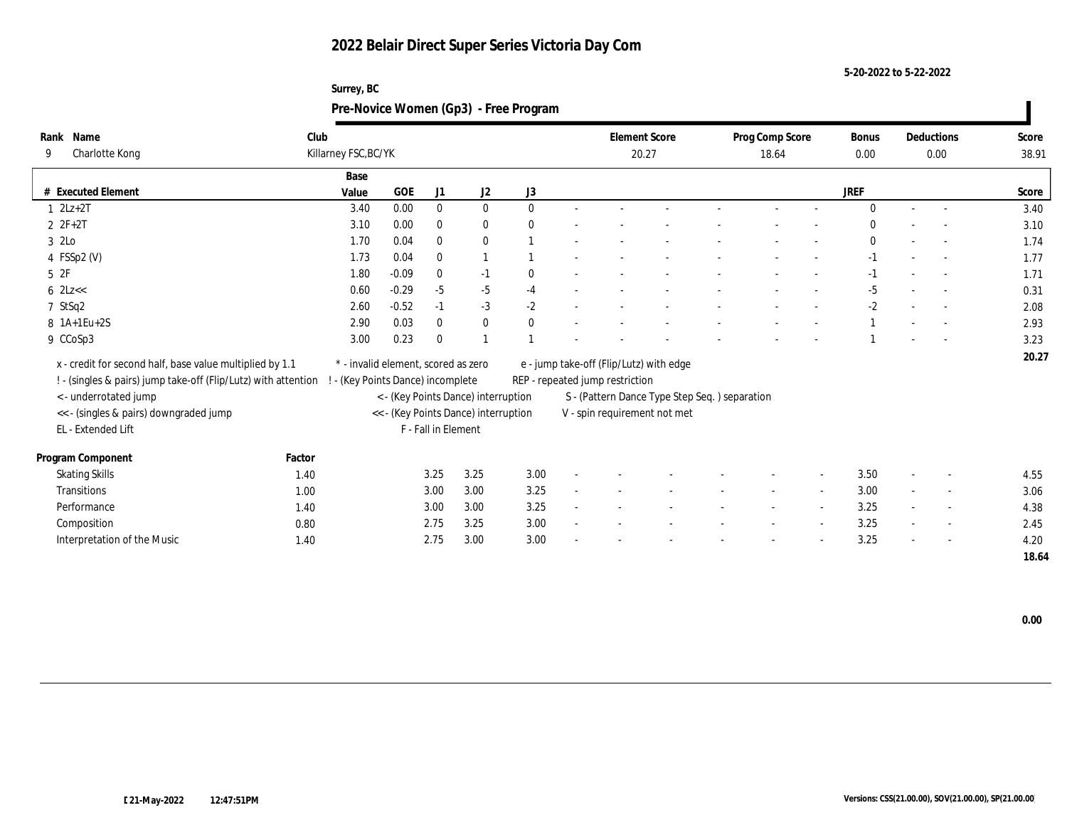| Surrey, BC                            |
|---------------------------------------|
| Pre-Novice Women (Gp3) - Free Program |

| Name<br>Rank                                                   | Club   |                                 |                                     |                     |                                      |              |                                 | <b>Element Score</b>                           | Prog Comp Score |                          | Bonus        | Deductions               | Score |
|----------------------------------------------------------------|--------|---------------------------------|-------------------------------------|---------------------|--------------------------------------|--------------|---------------------------------|------------------------------------------------|-----------------|--------------------------|--------------|--------------------------|-------|
| Charlotte Kong<br>9                                            |        | Killarney FSC, BC/YK            |                                     |                     |                                      |              |                                 | 20.27                                          | 18.64           |                          | 0.00         | 0.00                     | 38.91 |
|                                                                |        | Base                            |                                     |                     |                                      |              |                                 |                                                |                 |                          |              |                          |       |
| # Executed Element                                             |        | Value                           | GOE                                 | J1                  | J2                                   | J3           |                                 |                                                |                 |                          | <b>JREF</b>  |                          | Score |
| $1 \quad 2Lz+2T$                                               |        | 3.40                            | 0.00                                | $\mathbf{0}$        | $\mathbf{0}$                         | $\mathbf{0}$ |                                 |                                                |                 |                          | $\Omega$     | $\sim$                   | 3.40  |
| $2 F + 2T$                                                     |        | 3.10                            | 0.00                                | $\bf{0}$            | $\bf{0}$                             | $\theta$     |                                 |                                                |                 |                          | $\Omega$     |                          | 3.10  |
| 3 2Lo                                                          |        | 1.70                            | 0.04                                | $\bf{0}$            | $\bf{0}$                             |              |                                 |                                                |                 |                          | $\mathbf{0}$ |                          | 1.74  |
| 4 FSSp2 (V)                                                    |        | 1.73                            | 0.04                                | $\bf{0}$            |                                      |              |                                 |                                                |                 |                          | $-1$         | $\overline{\phantom{a}}$ | 1.77  |
| 5 2F                                                           |        | 1.80                            | $-0.09$                             | $\mathbf{0}$        | $-1$                                 | $\bf{0}$     |                                 |                                                |                 |                          | $-1$         | $\sim$                   | 1.71  |
| $6$ 2Lz $<<$                                                   |        | 0.60                            | $-0.29$                             | $-5$                | $-5$                                 | $-4$         |                                 |                                                |                 |                          | $-5$         |                          | 0.31  |
| 7 StSq2                                                        |        | 2.60                            | $-0.52$                             | $-1$                | $-3$                                 | $-2$         |                                 |                                                |                 |                          | $-2$         |                          | 2.08  |
| 8 1A+1Eu+2S                                                    |        | 2.90                            | 0.03                                | $\mathbf{0}$        | $\bf{0}$                             | $\mathbf{0}$ |                                 |                                                |                 |                          |              | $\overline{a}$           | 2.93  |
| 9 CCoSp3                                                       |        | 3.00                            | 0.23                                | $\bf{0}$            |                                      |              |                                 |                                                |                 |                          |              |                          | 3.23  |
| x - credit for second half, base value multiplied by 1.1       |        |                                 | * - invalid element, scored as zero |                     |                                      |              |                                 | e - jump take-off (Flip/Lutz) with edge        |                 |                          |              |                          | 20.27 |
| ! - (singles & pairs) jump take-off (Flip/Lutz) with attention |        | - (Key Points Dance) incomplete |                                     |                     |                                      |              | REP - repeated jump restriction |                                                |                 |                          |              |                          |       |
| <- underrotated jump                                           |        |                                 |                                     |                     | < - (Key Points Dance) interruption  |              |                                 | S - (Pattern Dance Type Step Seq. ) separation |                 |                          |              |                          |       |
| << - (singles & pairs) downgraded jump                         |        |                                 |                                     |                     | << - (Key Points Dance) interruption |              |                                 | V - spin requirement not met                   |                 |                          |              |                          |       |
| EL - Extended Lift                                             |        |                                 |                                     | F - Fall in Element |                                      |              |                                 |                                                |                 |                          |              |                          |       |
|                                                                |        |                                 |                                     |                     |                                      |              |                                 |                                                |                 |                          |              |                          |       |
| Program Component                                              | Factor |                                 |                                     |                     |                                      |              |                                 |                                                |                 |                          |              |                          |       |
| <b>Skating Skills</b>                                          | 1.40   |                                 |                                     | 3.25                | 3.25                                 | 3.00         |                                 |                                                |                 | $\overline{\phantom{a}}$ | 3.50         | $\overline{\phantom{a}}$ | 4.55  |
| Transitions                                                    | 1.00   |                                 |                                     | 3.00                | 3.00                                 | 3.25         |                                 |                                                |                 |                          | 3.00         | $\overline{\phantom{a}}$ | 3.06  |
| Performance                                                    | 1.40   |                                 |                                     | 3.00                | 3.00                                 | 3.25         |                                 |                                                |                 |                          | 3.25         | $\overline{\phantom{a}}$ | 4.38  |
| Composition                                                    | 0.80   |                                 |                                     | 2.75                | 3.25                                 | 3.00         |                                 |                                                |                 |                          | 3.25         | $\sim$                   | 2.45  |
| Interpretation of the Music                                    | 1.40   |                                 |                                     | 2.75                | 3.00                                 | 3.00         |                                 |                                                |                 |                          | 3.25         | $\overline{\phantom{a}}$ | 4.20  |
|                                                                |        |                                 |                                     |                     |                                      |              |                                 |                                                |                 |                          |              |                          | 18.64 |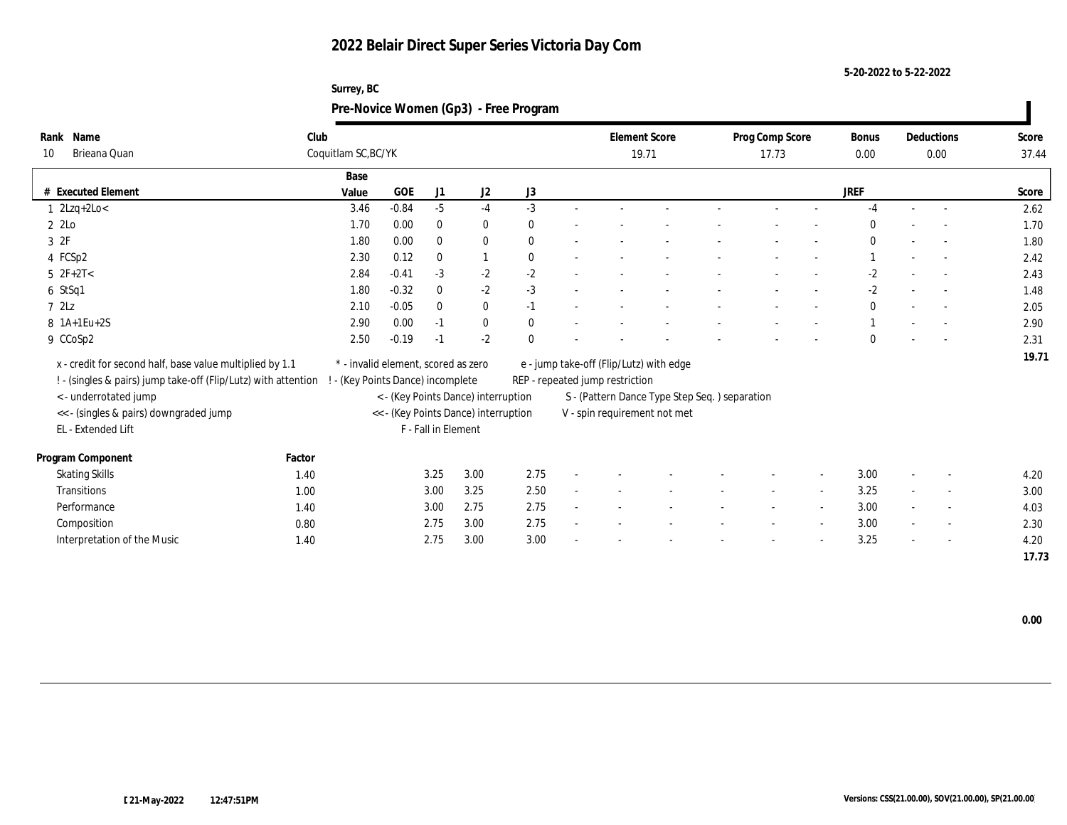| Surrey, BC                            |
|---------------------------------------|
| Pre-Novice Women (Gp3) - Free Program |

| Rank Name                                                      | Club   |                                     |         |                     |                                      |              |                                 | <b>Element Score</b>                          | Prog Comp Score |                          | Bonus        | Deductions               | Score |
|----------------------------------------------------------------|--------|-------------------------------------|---------|---------------------|--------------------------------------|--------------|---------------------------------|-----------------------------------------------|-----------------|--------------------------|--------------|--------------------------|-------|
| Brieana Quan<br>10                                             |        | Coquitlam SC, BC/YK                 |         |                     |                                      |              |                                 | 19.71                                         | 17.73           |                          | 0.00         | 0.00                     | 37.44 |
|                                                                |        | Base                                |         |                     |                                      |              |                                 |                                               |                 |                          |              |                          |       |
| # Executed Element                                             |        | Value                               | GOE     | J1                  | J2                                   | J3           |                                 |                                               |                 |                          | JREF         |                          | Score |
| $1 \quad 2Lzq+2Lo<$                                            |        | 3.46                                | $-0.84$ | $-5$                | $-4$                                 | $-3$         |                                 |                                               |                 |                          | $-4$         | $\sim$                   | 2.62  |
| 2 2Lo                                                          |        | 1.70                                | 0.00    | $\bf{0}$            | $\bf{0}$                             | $\mathbf{0}$ |                                 |                                               |                 |                          | $\Omega$     |                          | 1.70  |
| 3 2F                                                           |        | 1.80                                | 0.00    | $\bf{0}$            | $\bf{0}$                             | $\mathbf{0}$ |                                 |                                               |                 |                          | $\mathbf{0}$ | $\sim$                   | 1.80  |
| 4 FCSp2                                                        |        | 2.30                                | 0.12    | $\bf{0}$            | $\mathbf{1}$                         | $\mathbf{0}$ |                                 |                                               |                 |                          |              |                          | 2.42  |
| $5$ $2F+2T<$                                                   |        | 2.84                                | $-0.41$ | $-3$                | $-2$                                 | $-2$         |                                 |                                               |                 |                          | $-2$         | $\sim$                   | 2.43  |
| 6 StSq1                                                        |        | 1.80                                | $-0.32$ | $\bf{0}$            | $-2$                                 | $-3$         |                                 |                                               |                 |                          | $-2$         |                          | 1.48  |
| 72Lz                                                           |        | 2.10                                | $-0.05$ | $\bf{0}$            | $\bf{0}$                             | $-1$         |                                 |                                               |                 |                          | $\mathbf{0}$ | $\overline{\phantom{a}}$ | 2.05  |
| $8$ 1A+1Eu+2S                                                  |        | 2.90                                | 0.00    | $-1$                | $\bf{0}$                             | $\bf{0}$     |                                 |                                               |                 |                          |              |                          | 2.90  |
| 9 CCoSp2                                                       |        | 2.50                                | $-0.19$ | $-1$                | $-2$                                 | $\mathbf{0}$ |                                 |                                               |                 |                          | $\Omega$     | $\overline{a}$           | 2.31  |
| x - credit for second half, base value multiplied by 1.1       |        | * - invalid element, scored as zero |         |                     |                                      |              |                                 | e - jump take-off (Flip/Lutz) with edge       |                 |                          |              |                          | 19.71 |
| ! - (singles & pairs) jump take-off (Flip/Lutz) with attention |        | - (Key Points Dance) incomplete     |         |                     |                                      |              | REP - repeated jump restriction |                                               |                 |                          |              |                          |       |
| < - underrotated jump                                          |        |                                     |         |                     | < - (Key Points Dance) interruption  |              |                                 | S - (Pattern Dance Type Step Seq.) separation |                 |                          |              |                          |       |
| << - (singles & pairs) downgraded jump                         |        |                                     |         |                     | << - (Key Points Dance) interruption |              |                                 | V - spin requirement not met                  |                 |                          |              |                          |       |
| EL - Extended Lift                                             |        |                                     |         | F - Fall in Element |                                      |              |                                 |                                               |                 |                          |              |                          |       |
|                                                                |        |                                     |         |                     |                                      |              |                                 |                                               |                 |                          |              |                          |       |
| Program Component                                              | Factor |                                     |         |                     |                                      |              |                                 |                                               |                 |                          |              |                          |       |
| <b>Skating Skills</b>                                          | 1.40   |                                     |         | 3.25                | 3.00                                 | 2.75         |                                 |                                               |                 | $\overline{\phantom{a}}$ | 3.00         | $\overline{\phantom{a}}$ | 4.20  |
| Transitions                                                    | 1.00   |                                     |         | 3.00                | 3.25                                 | 2.50         |                                 |                                               |                 |                          | 3.25         | $\overline{\phantom{a}}$ | 3.00  |
| Performance                                                    | 1.40   |                                     |         | 3.00                | 2.75                                 | 2.75         |                                 |                                               |                 |                          | 3.00         | $\overline{\phantom{a}}$ | 4.03  |
| Composition                                                    | 0.80   |                                     |         | 2.75                | 3.00                                 | 2.75         |                                 |                                               |                 | $\overline{\phantom{a}}$ | 3.00         | $\sim$                   | 2.30  |
| Interpretation of the Music                                    | 1.40   |                                     |         | 2.75                | 3.00                                 | 3.00         |                                 |                                               |                 |                          | 3.25         | $\overline{\phantom{a}}$ | 4.20  |
|                                                                |        |                                     |         |                     |                                      |              |                                 |                                               |                 |                          |              |                          | 17.73 |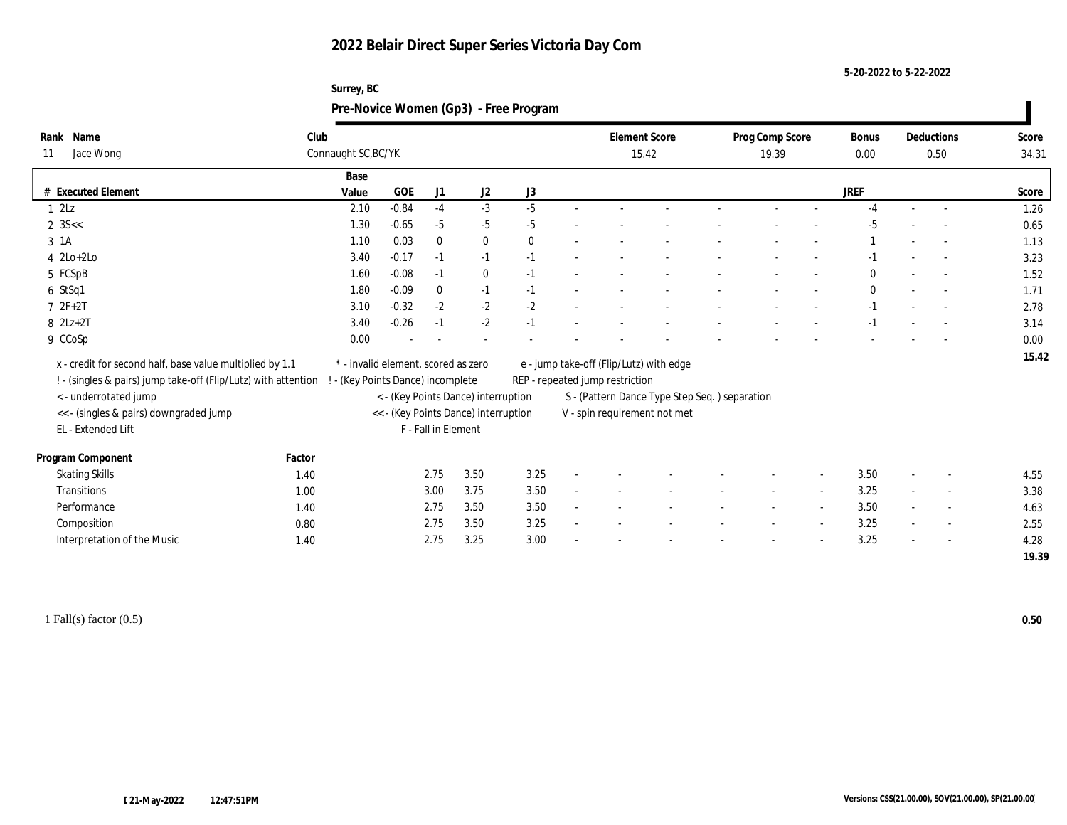| Surrey, BC                            |
|---------------------------------------|
| Pre-Novice Women (Gp3) - Free Program |

| Rank Name                                                                               | Club   |                                     |         |                     |                                      |              |                                 | <b>Element Score</b>                          | Prog Comp Score |                          | Bonus        | Deductions               | Score |
|-----------------------------------------------------------------------------------------|--------|-------------------------------------|---------|---------------------|--------------------------------------|--------------|---------------------------------|-----------------------------------------------|-----------------|--------------------------|--------------|--------------------------|-------|
| Jace Wong<br>11                                                                         |        | Connaught SC, BC/YK                 |         |                     |                                      |              |                                 | 15.42                                         | 19.39           |                          | 0.00         | 0.50                     | 34.31 |
|                                                                                         |        | Base                                |         |                     |                                      |              |                                 |                                               |                 |                          |              |                          |       |
| # Executed Element                                                                      |        | Value                               | GOE     | J1                  | J <sub>2</sub>                       | J3           |                                 |                                               |                 |                          | <b>JREF</b>  |                          | Score |
| 12Lz                                                                                    |        | 2.10                                | $-0.84$ | $-4$                | $-3$                                 | $-5$         |                                 |                                               |                 |                          | $-4$         |                          | 1.26  |
| $2 \, 35 <$                                                                             |        | 1.30                                | $-0.65$ | $-5$                | $-5$                                 | $-5$         |                                 |                                               |                 |                          | $-5$         |                          | 0.65  |
| 3 1A                                                                                    |        | 1.10                                | 0.03    | $\bf{0}$            | $\bf{0}$                             | $\mathbf{0}$ |                                 |                                               |                 |                          |              | $\overline{\phantom{a}}$ | 1.13  |
| $4$ $2Lo+2Lo$                                                                           |        | 3.40                                | $-0.17$ | $-1$                | $-1$                                 | $-1$         |                                 |                                               |                 |                          | $-1$         | $\sim$                   | 3.23  |
| 5 FCSpB                                                                                 |        | 1.60                                | $-0.08$ | $-1$                | $\mathbf{0}$                         | $-1$         |                                 |                                               |                 |                          | $\mathbf{0}$ | $\sim$                   | 1.52  |
| 6 StSq1                                                                                 |        | 1.80                                | $-0.09$ | $\bf{0}$            | $-1$                                 | $-1$         |                                 |                                               |                 |                          | $\mathbf{0}$ |                          | 1.71  |
| $72F+2T$                                                                                |        | 3.10                                | $-0.32$ | $-2$                | $-2$                                 | $-2$         |                                 |                                               |                 |                          | $-1$         | $\sim$                   | 2.78  |
| $8$ $2Lz+2T$                                                                            |        | 3.40                                | $-0.26$ | $-1$                | $-2$                                 | $-1$         |                                 |                                               |                 |                          | $-1$         | $\sim$                   | 3.14  |
| 9 CCoSp                                                                                 |        | 0.00                                |         |                     |                                      |              |                                 |                                               |                 |                          |              |                          | 0.00  |
| x - credit for second half, base value multiplied by 1.1                                |        | * - invalid element, scored as zero |         |                     |                                      |              |                                 | e - jump take-off (Flip/Lutz) with edge       |                 |                          |              |                          | 15.42 |
|                                                                                         |        |                                     |         |                     |                                      |              |                                 |                                               |                 |                          |              |                          |       |
| ! - (singles & pairs) jump take-off (Flip/Lutz) with attention<br>< - underrotated jump |        | - (Key Points Dance) incomplete     |         |                     | < - (Key Points Dance) interruption  |              | REP - repeated jump restriction |                                               |                 |                          |              |                          |       |
| << - (singles & pairs) downgraded jump                                                  |        |                                     |         |                     | << - (Key Points Dance) interruption |              |                                 | S - (Pattern Dance Type Step Seq.) separation |                 |                          |              |                          |       |
| EL - Extended Lift                                                                      |        |                                     |         | F - Fall in Element |                                      |              |                                 | V - spin requirement not met                  |                 |                          |              |                          |       |
|                                                                                         |        |                                     |         |                     |                                      |              |                                 |                                               |                 |                          |              |                          |       |
| Program Component                                                                       | Factor |                                     |         |                     |                                      |              |                                 |                                               |                 |                          |              |                          |       |
| <b>Skating Skills</b>                                                                   | 1.40   |                                     |         | 2.75                | 3.50                                 | 3.25         |                                 |                                               |                 | $\overline{\phantom{a}}$ | 3.50         | $\overline{\phantom{a}}$ | 4.55  |
| Transitions                                                                             | 1.00   |                                     |         | 3.00                | 3.75                                 | 3.50         |                                 |                                               |                 |                          | 3.25         | $\overline{\phantom{a}}$ | 3.38  |
| Performance                                                                             | 1.40   |                                     |         | 2.75                | 3.50                                 | 3.50         |                                 |                                               |                 |                          | 3.50         | $\overline{\phantom{a}}$ | 4.63  |
| Composition                                                                             | 0.80   |                                     |         | 2.75                | 3.50                                 | 3.25         |                                 |                                               |                 | $\overline{\phantom{a}}$ | 3.25         | $\sim$                   | 2.55  |
| Interpretation of the Music                                                             | 1.40   |                                     |         | 2.75                | 3.25                                 | 3.00         |                                 |                                               |                 |                          | 3.25         | $\overline{\phantom{a}}$ | 4.28  |
|                                                                                         |        |                                     |         |                     |                                      |              |                                 |                                               |                 |                          |              |                          | 19.39 |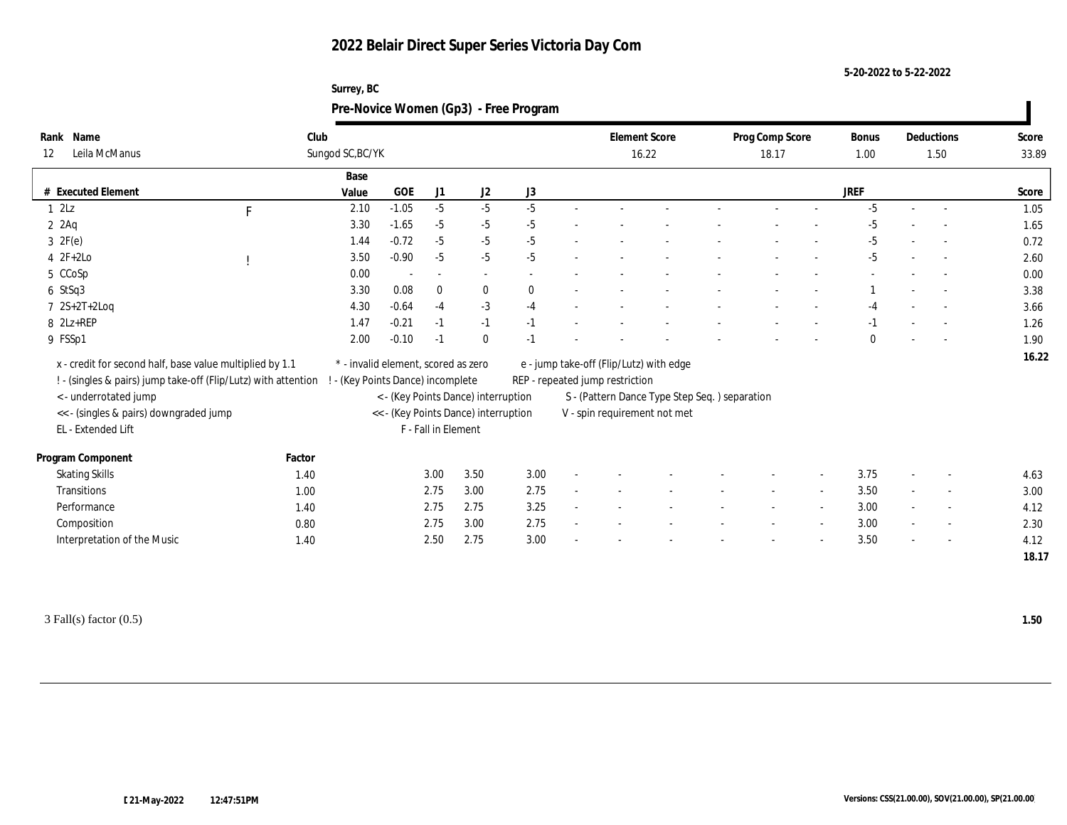#### **5-20-2022 to 5-22-2022**

## **Surrey, BC Pre-Novice Women (Gp3) - Free Program**

| Rank Name                                                      |        | Club                            |                                     |                          |                                      |          |                                 | <b>Element Score</b>                          | Prog Comp Score |                          | Bonus       | Deductions               | Score |
|----------------------------------------------------------------|--------|---------------------------------|-------------------------------------|--------------------------|--------------------------------------|----------|---------------------------------|-----------------------------------------------|-----------------|--------------------------|-------------|--------------------------|-------|
| Leila McManus<br>12                                            |        | Sungod SC, BC/YK                |                                     |                          |                                      |          |                                 | 16.22                                         | 18.17           |                          | 1.00        | 1.50                     | 33.89 |
|                                                                |        | Base                            |                                     |                          |                                      |          |                                 |                                               |                 |                          |             |                          |       |
| # Executed Element                                             |        | Value                           | GOE                                 | J1                       | J2                                   | J3       |                                 |                                               |                 |                          | <b>JREF</b> |                          | Score |
| 12Lz                                                           | F      | 2.10                            | $-1.05$                             | $-5$                     | $-5$                                 | $-5$     |                                 |                                               |                 |                          | $-5$        | $\overline{a}$           | 1.05  |
| $2$ $2$ Aq                                                     |        | 3.30                            | $-1.65$                             | $-5$                     | $-5$                                 | $-5$     |                                 |                                               |                 |                          | $-5$        |                          | 1.65  |
| $3 \t2F(e)$                                                    |        | 1.44                            | $-0.72$                             | $-5$                     | $-5$                                 | $-5$     |                                 |                                               |                 |                          | $-5$        |                          | 0.72  |
| $4 2F+2Lo$                                                     |        | 3.50                            | $-0.90$                             | $-5$                     | $-5$                                 | $-5$     |                                 |                                               |                 |                          | $-5$        | $\sim$                   | 2.60  |
| 5 CCoSp                                                        |        | 0.00                            |                                     | $\overline{\phantom{a}}$ | $\sim$                               |          |                                 |                                               |                 |                          |             |                          | 0.00  |
| $6$ StSq3                                                      |        | 3.30                            | 0.08                                | $\bf{0}$                 | $\bf{0}$                             | $\bf{0}$ |                                 |                                               |                 |                          |             |                          | 3.38  |
| $7 \text{ } 2S+2T+2Log$                                        |        | 4.30                            | $-0.64$                             | $-4$                     | $-3$                                 | $-4$     |                                 |                                               |                 |                          | $-4$        |                          | 3.66  |
| 8 2Lz+REP                                                      |        | 1.47                            | $-0.21$                             | $-1$                     | $-1$                                 | $-1$     |                                 |                                               |                 |                          | $-1$        | $\overline{\phantom{a}}$ | 1.26  |
| 9 FSSp1                                                        |        | 2.00                            | $-0.10$                             | $-1$                     | $\mathbf{0}$                         | $-1$     |                                 |                                               |                 |                          | $\Omega$    |                          | 1.90  |
| x - credit for second half, base value multiplied by 1.1       |        |                                 | * - invalid element, scored as zero |                          |                                      |          |                                 | e - jump take-off (Flip/Lutz) with edge       |                 |                          |             |                          | 16.22 |
| ! - (singles & pairs) jump take-off (Flip/Lutz) with attention |        | - (Key Points Dance) incomplete |                                     |                          |                                      |          | REP - repeated jump restriction |                                               |                 |                          |             |                          |       |
| < - underrotated jump                                          |        |                                 |                                     |                          | < - (Key Points Dance) interruption  |          |                                 | S - (Pattern Dance Type Step Seq.) separation |                 |                          |             |                          |       |
| <<- (singles & pairs) downgraded jump                          |        |                                 |                                     |                          | << - (Key Points Dance) interruption |          |                                 | V - spin requirement not met                  |                 |                          |             |                          |       |
| EL - Extended Lift                                             |        |                                 |                                     | F - Fall in Element      |                                      |          |                                 |                                               |                 |                          |             |                          |       |
|                                                                |        |                                 |                                     |                          |                                      |          |                                 |                                               |                 |                          |             |                          |       |
| Program Component                                              | Factor |                                 |                                     |                          |                                      |          |                                 |                                               |                 |                          |             |                          |       |
| <b>Skating Skills</b>                                          | 1.40   |                                 |                                     | 3.00                     | 3.50                                 | 3.00     |                                 |                                               |                 | $\overline{\phantom{a}}$ | 3.75        | $\overline{\phantom{a}}$ | 4.63  |
| Transitions                                                    | 1.00   |                                 |                                     | 2.75                     | 3.00                                 | 2.75     |                                 |                                               |                 |                          | 3.50        | $\overline{\phantom{a}}$ | 3.00  |
| Performance                                                    | 1.40   |                                 |                                     | 2.75                     | 2.75                                 | 3.25     |                                 |                                               |                 |                          | 3.00        | $\overline{\phantom{a}}$ | 4.12  |
| Composition                                                    | 0.80   |                                 |                                     | 2.75                     | 3.00                                 | 2.75     |                                 |                                               |                 | $\overline{\phantom{a}}$ | 3.00        | $\overline{\phantom{a}}$ | 2.30  |
| Interpretation of the Music                                    | 1.40   |                                 |                                     | 2.50                     | 2.75                                 | 3.00     |                                 |                                               |                 |                          | 3.50        | $\overline{\phantom{a}}$ | 4.12  |
|                                                                |        |                                 |                                     |                          |                                      |          |                                 |                                               |                 |                          |             |                          | 18.17 |

3 Fall(s) factor (0.5) **1.50**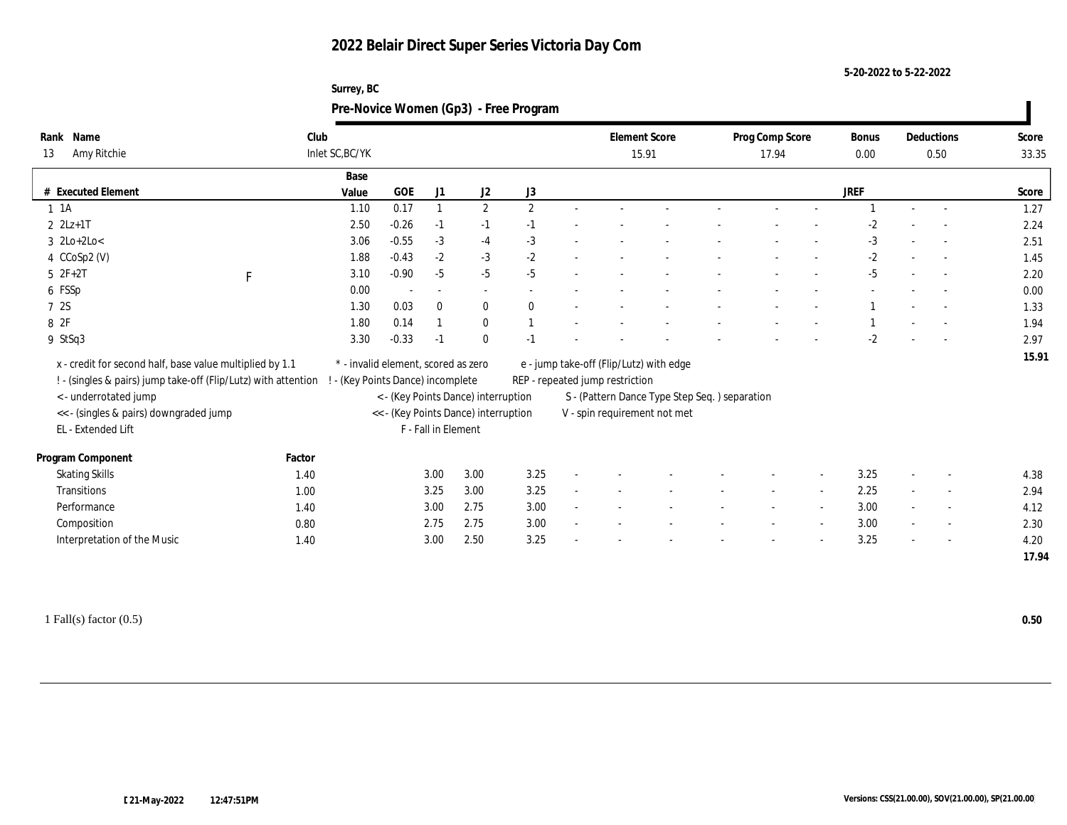**5-20-2022 to 5-22-2022**

| Surrey, BC                            |
|---------------------------------------|
| Pre-Novice Women (Gp3) - Free Program |

| Rank Name                                                      | Club            |                                     |                          |      |                                      |              |                                 | <b>Element Score</b>                          | Prog Comp Score |                          | Bonus | Deductions               | Score |
|----------------------------------------------------------------|-----------------|-------------------------------------|--------------------------|------|--------------------------------------|--------------|---------------------------------|-----------------------------------------------|-----------------|--------------------------|-------|--------------------------|-------|
| Amy Ritchie<br>13                                              | Inlet SC, BC/YK |                                     |                          |      |                                      |              |                                 | 15.91                                         | 17.94           |                          | 0.00  | 0.50                     | 33.35 |
|                                                                |                 | Base                                |                          |      |                                      |              |                                 |                                               |                 |                          |       |                          |       |
| # Executed Element                                             |                 | Value                               | GOE                      | J1   | J2                                   | J3           |                                 |                                               |                 |                          | JREF  |                          | Score |
| $1 \t1A$                                                       |                 | 0.17<br>1.10                        |                          |      | $\mathbf{2}$                         | $\mathbf{2}$ |                                 |                                               |                 |                          |       |                          | 1.27  |
| $2 \text{ } 2Lz + 1T$                                          |                 | 2.50<br>$-0.26$                     |                          | $-1$ | $-1$                                 | $-1$         |                                 |                                               |                 |                          | $-2$  |                          | 2.24  |
| $3$ 2Lo+2Lo<                                                   |                 | 3.06<br>$-0.55$                     |                          | $-3$ | $-4$                                 | $-3$         |                                 |                                               |                 |                          | $-3$  | $\sim$                   | 2.51  |
| 4 CCoSp2 (V)                                                   |                 | $-0.43$<br>1.88                     |                          | $-2$ | $-3$                                 | $-2$         |                                 |                                               |                 |                          | $-2$  |                          | 1.45  |
| $5 2F+2T$<br>$\mathbf F$                                       |                 | 3.10<br>$-0.90$                     |                          | $-5$ | $-5$                                 | $-5$         |                                 |                                               |                 |                          | $-5$  | $\sim$                   | 2.20  |
| 6 FSSp                                                         |                 | 0.00                                | $\overline{\phantom{a}}$ |      | $\sim$                               |              |                                 |                                               |                 |                          |       |                          | 0.00  |
| 7 2S                                                           |                 | 1.30<br>0.03                        | $\bf{0}$                 |      | $\bf{0}$                             | $\mathbf{0}$ |                                 |                                               |                 |                          |       |                          | 1.33  |
| 8 2F                                                           |                 | 1.80<br>0.14                        |                          |      | $\bf{0}$                             |              |                                 |                                               |                 |                          |       |                          | 1.94  |
| 9 StSq3                                                        |                 | $-0.33$<br>3.30                     | $-1$                     |      | $\bf{0}$                             | $-1$         |                                 |                                               |                 |                          | $-2$  | $\overline{\phantom{a}}$ | 2.97  |
| x - credit for second half, base value multiplied by 1.1       |                 | * - invalid element, scored as zero |                          |      |                                      |              |                                 | e - jump take-off (Flip/Lutz) with edge       |                 |                          |       |                          | 15.91 |
| ! - (singles & pairs) jump take-off (Flip/Lutz) with attention |                 | - (Key Points Dance) incomplete     |                          |      |                                      |              | REP - repeated jump restriction |                                               |                 |                          |       |                          |       |
| < - underrotated jump                                          |                 |                                     |                          |      | < - (Key Points Dance) interruption  |              |                                 | S - (Pattern Dance Type Step Seq.) separation |                 |                          |       |                          |       |
| << - (singles & pairs) downgraded jump                         |                 |                                     |                          |      | << - (Key Points Dance) interruption |              |                                 | V - spin requirement not met                  |                 |                          |       |                          |       |
| EL - Extended Lift                                             |                 |                                     | F - Fall in Element      |      |                                      |              |                                 |                                               |                 |                          |       |                          |       |
|                                                                |                 |                                     |                          |      |                                      |              |                                 |                                               |                 |                          |       |                          |       |
| Program Component                                              | Factor          |                                     |                          |      |                                      |              |                                 |                                               |                 |                          |       |                          |       |
| <b>Skating Skills</b>                                          | 1.40            |                                     | 3.00                     |      | 3.00                                 | 3.25         |                                 |                                               |                 | $\overline{\phantom{a}}$ | 3.25  | $\overline{\phantom{a}}$ | 4.38  |
| Transitions                                                    | 1.00            |                                     | 3.25                     |      | 3.00                                 | 3.25         |                                 |                                               |                 |                          | 2.25  | $\overline{\phantom{a}}$ | 2.94  |
| Performance                                                    | 1.40            |                                     | 3.00                     |      | 2.75                                 | 3.00         |                                 |                                               |                 |                          | 3.00  | $\overline{\phantom{a}}$ | 4.12  |
| Composition                                                    | 0.80            |                                     | 2.75                     |      | 2.75                                 | 3.00         |                                 |                                               |                 |                          | 3.00  | $\sim$                   | 2.30  |
| Interpretation of the Music                                    | 1.40            |                                     | 3.00                     |      | 2.50                                 | 3.25         |                                 |                                               |                 |                          | 3.25  | $\overline{\phantom{a}}$ | 4.20  |
|                                                                |                 |                                     |                          |      |                                      |              |                                 |                                               |                 |                          |       |                          | 17.94 |

ı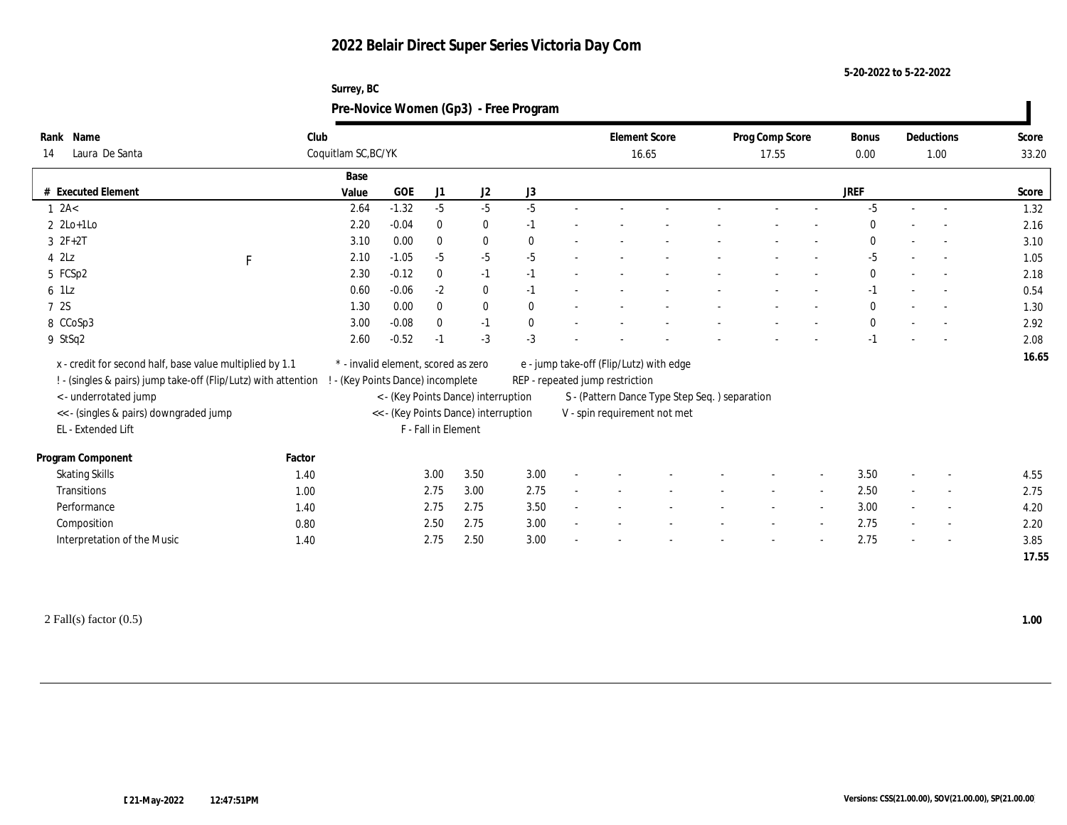#### **5-20-2022 to 5-22-2022**

## **Surrey, BC Pre-Novice Women (Gp3) - Free Program**

| Rank Name                                                      | Club        |                                     |         |                     |                                      |              | <b>Element Score</b>            |                                               | Prog Comp Score |                          | <b>Bonus</b> | Deductions               | Score |
|----------------------------------------------------------------|-------------|-------------------------------------|---------|---------------------|--------------------------------------|--------------|---------------------------------|-----------------------------------------------|-----------------|--------------------------|--------------|--------------------------|-------|
| Laura De Santa<br>14                                           |             | Coquitlam SC, BC/YK                 |         |                     |                                      |              |                                 | 16.65                                         | 17.55           |                          | $0.00\,$     | 1.00                     | 33.20 |
|                                                                |             | Base                                |         |                     |                                      |              |                                 |                                               |                 |                          |              |                          |       |
| # Executed Element                                             |             | Value                               | GOE     | J1                  | J <sub>2</sub>                       | J3           |                                 |                                               |                 |                          | JREF         |                          | Score |
| 1 2A<                                                          |             | 2.64                                | $-1.32$ | $-5$                | $-5$                                 | $-5$         |                                 |                                               |                 |                          | $-5$         | $\overline{\phantom{a}}$ | 1.32  |
| $2 \text{ } 2\text{Lo+1Lo}$                                    |             | 2.20                                | $-0.04$ | $\bf{0}$            | $\bf{0}$                             | $-1$         |                                 |                                               |                 |                          | $\Omega$     |                          | 2.16  |
| $3 \t2F+2T$                                                    |             | 3.10                                | 0.00    | $\mathbf{0}$        | $\bf{0}$                             | $\mathbf{0}$ |                                 |                                               |                 |                          | $\mathbf{0}$ |                          | 3.10  |
| $4$ $2\text{L}z$                                               | $\mathbf F$ | 2.10                                | $-1.05$ | $-5$                | $-5$                                 | $-5$         |                                 |                                               |                 |                          | $-5$         | $\overline{\phantom{a}}$ | 1.05  |
| 5 FCSp2                                                        |             | 2.30                                | $-0.12$ | $\bf{0}$            | $-1$                                 | $-1$         |                                 |                                               |                 |                          | $\bf{0}$     | $\overline{a}$           | 2.18  |
| 6 1Lz                                                          |             | 0.60                                | $-0.06$ | $-2$                | $\bf{0}$                             | $-1$         |                                 |                                               |                 |                          | $-1$         | $\sim$                   | 0.54  |
| 7 2S                                                           |             | 1.30                                | 0.00    | $\mathbf{0}$        | $\bf{0}$                             | $\theta$     |                                 |                                               |                 |                          | $\theta$     |                          | 1.30  |
| 8 CCoSp3                                                       |             | 3.00                                | $-0.08$ | $\bf{0}$            | $-1$                                 | $\mathbf{0}$ |                                 |                                               |                 |                          | $\mathbf{0}$ | $\overline{\phantom{a}}$ | 2.92  |
| 9 StSq2                                                        |             | 2.60                                | $-0.52$ | $-1$                | $-3$                                 | $-3$         |                                 |                                               |                 |                          | $-1$         |                          | 2.08  |
| x - credit for second half, base value multiplied by 1.1       |             | * - invalid element, scored as zero |         |                     |                                      |              |                                 | e - jump take-off (Flip/Lutz) with edge       |                 |                          |              |                          | 16.65 |
| ! - (singles & pairs) jump take-off (Flip/Lutz) with attention |             | - (Key Points Dance) incomplete     |         |                     |                                      |              | REP - repeated jump restriction |                                               |                 |                          |              |                          |       |
| <- underrotated jump                                           |             |                                     |         |                     | < - (Key Points Dance) interruption  |              |                                 | S - (Pattern Dance Type Step Seq.) separation |                 |                          |              |                          |       |
| << - (singles & pairs) downgraded jump                         |             |                                     |         |                     | << - (Key Points Dance) interruption |              |                                 | V - spin requirement not met                  |                 |                          |              |                          |       |
| EL - Extended Lift                                             |             |                                     |         | F - Fall in Element |                                      |              |                                 |                                               |                 |                          |              |                          |       |
|                                                                |             |                                     |         |                     |                                      |              |                                 |                                               |                 |                          |              |                          |       |
| Program Component                                              | Factor      |                                     |         |                     |                                      |              |                                 |                                               |                 |                          |              |                          |       |
| <b>Skating Skills</b>                                          | 1.40        |                                     |         | 3.00                | 3.50                                 | 3.00         |                                 |                                               |                 | $\overline{\phantom{a}}$ | 3.50         | $\overline{\phantom{a}}$ | 4.55  |
| Transitions                                                    | 1.00        |                                     |         | 2.75                | 3.00                                 | 2.75         |                                 |                                               |                 |                          | 2.50         | $\overline{\phantom{a}}$ | 2.75  |
| Performance                                                    | 1.40        |                                     |         | 2.75                | 2.75                                 | 3.50         |                                 |                                               |                 |                          | 3.00         | $\overline{\phantom{a}}$ | 4.20  |
| Composition                                                    | 0.80        |                                     |         | 2.50                | 2.75                                 | 3.00         |                                 |                                               |                 | $\overline{\phantom{a}}$ | 2.75         | $\overline{\phantom{a}}$ | 2.20  |
| Interpretation of the Music                                    | 1.40        |                                     |         | 2.75                | 2.50                                 | 3.00         |                                 |                                               |                 |                          | 2.75         |                          | 3.85  |
|                                                                |             |                                     |         |                     |                                      |              |                                 |                                               |                 |                          |              |                          | 17.55 |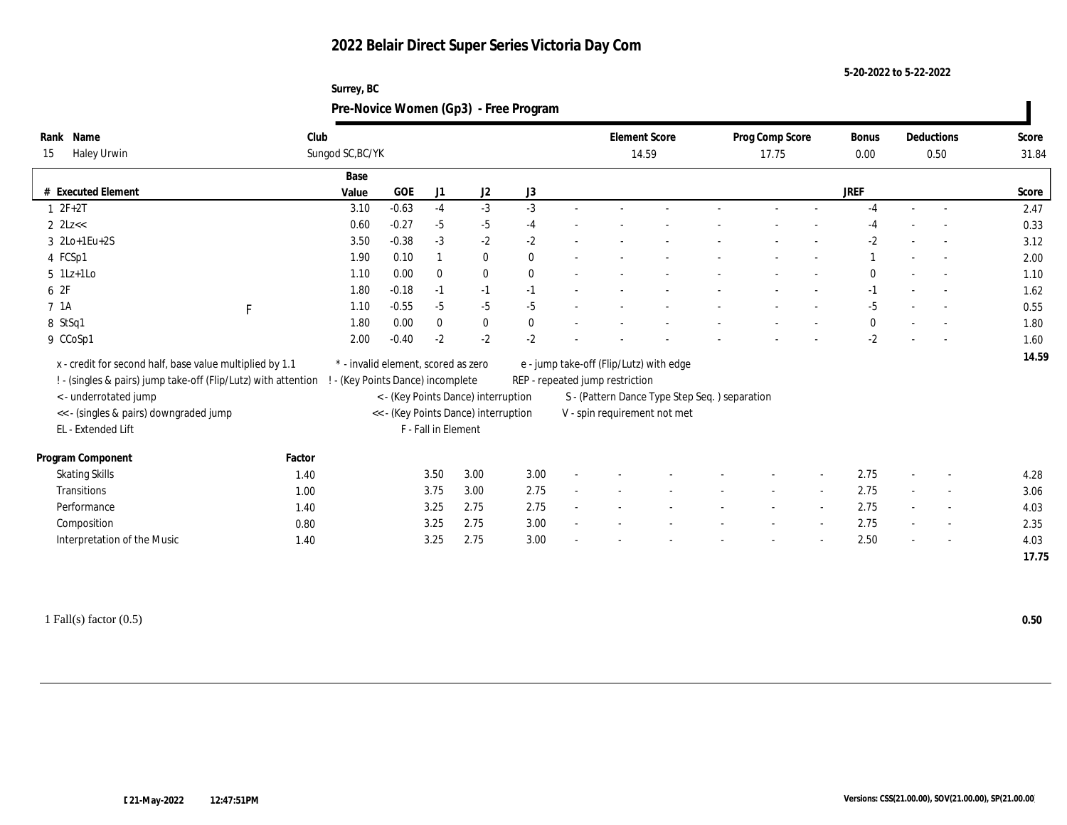| Surrey, BC                            |
|---------------------------------------|
| Pre-Novice Women (Gp3) - Free Program |

| Name<br>Rank                                                   | Club                              |                                                             |          |          |              |  | <b>Element Score</b>                                                             |                                         |  | Prog Comp Score |  |              | Deductions |                          | Score |  |  |
|----------------------------------------------------------------|-----------------------------------|-------------------------------------------------------------|----------|----------|--------------|--|----------------------------------------------------------------------------------|-----------------------------------------|--|-----------------|--|--------------|------------|--------------------------|-------|--|--|
| Haley Urwin<br>15                                              | Sungod SC, BC/YK                  |                                                             |          |          |              |  |                                                                                  | 14.59                                   |  | 17.75           |  |              |            | 0.50                     | 31.84 |  |  |
|                                                                | Base                              |                                                             |          |          |              |  |                                                                                  |                                         |  |                 |  |              |            |                          |       |  |  |
| # Executed Element                                             | Value                             | GOE                                                         | J1       | J2       | J3           |  |                                                                                  |                                         |  |                 |  | JREF         |            |                          | Score |  |  |
| $1 2F+2T$                                                      | 3.10                              | $-0.63$                                                     | $-4$     | $-3$     | $-3$         |  |                                                                                  |                                         |  |                 |  | $-4$         |            |                          | 2.47  |  |  |
| $2$ $2$ Lz $<<$                                                | 0.60                              | $-0.27$                                                     | $-5$     | $-5$     | $-4$         |  |                                                                                  |                                         |  |                 |  | -4           |            |                          | 0.33  |  |  |
| $3 \text{ } 2\text{Lo+1} \text{Eu+2S}$                         | 3.50                              | $-0.38$                                                     | $-3$     | $-2$     | $-2$         |  |                                                                                  |                                         |  |                 |  | $-2$         |            | $\sim$                   | 3.12  |  |  |
| 4 FCSp1                                                        | 1.90                              | 0.10                                                        |          | $\bf{0}$ | $\theta$     |  |                                                                                  |                                         |  |                 |  |              |            |                          | 2.00  |  |  |
| $5$ 1Lz+1Lo                                                    | 1.10                              | 0.00                                                        | $\theta$ | $\bf{0}$ | $\theta$     |  |                                                                                  |                                         |  |                 |  | $\mathbf{0}$ |            | $\sim$                   | 1.10  |  |  |
| 6 2F                                                           | 1.80                              | $-0.18$                                                     | $-1$     | $-1$     | $-1$         |  |                                                                                  |                                         |  |                 |  | $-1$         |            |                          | 1.62  |  |  |
| 7 1A<br>F                                                      | 1.10                              | $-0.55$                                                     | $-5$     | $-5$     | $-5$         |  |                                                                                  |                                         |  |                 |  | $-5$         |            |                          | 0.55  |  |  |
| 8 StSq1                                                        | 1.80                              | 0.00                                                        | $\bf{0}$ | $\bf{0}$ | $\mathbf{0}$ |  |                                                                                  |                                         |  |                 |  | $\mathbf{0}$ |            |                          | 1.80  |  |  |
| 9 CCoSp1                                                       | 2.00                              | $-0.40$                                                     | $-2$     | $-2$     | $-2$         |  |                                                                                  |                                         |  |                 |  | $-2$         |            | $\sim$                   | 1.60  |  |  |
| x - credit for second half, base value multiplied by 1.1       |                                   | * - invalid element, scored as zero                         |          |          |              |  |                                                                                  | e - jump take-off (Flip/Lutz) with edge |  |                 |  |              |            |                          | 14.59 |  |  |
| ! - (singles & pairs) jump take-off (Flip/Lutz) with attention | ! - (Key Points Dance) incomplete |                                                             |          |          |              |  |                                                                                  |                                         |  |                 |  |              |            |                          |       |  |  |
| <- underrotated jump                                           |                                   |                                                             |          |          |              |  | REP - repeated jump restriction<br>S - (Pattern Dance Type Step Seq.) separation |                                         |  |                 |  |              |            |                          |       |  |  |
| << - (singles & pairs) downgraded jump                         |                                   | < - (Key Points Dance) interruption                         |          |          |              |  |                                                                                  | V - spin requirement not met            |  |                 |  |              |            |                          |       |  |  |
| EL - Extended Lift                                             |                                   | << - (Key Points Dance) interruption<br>F - Fall in Element |          |          |              |  |                                                                                  |                                         |  |                 |  |              |            |                          |       |  |  |
|                                                                |                                   |                                                             |          |          |              |  |                                                                                  |                                         |  |                 |  |              |            |                          |       |  |  |
| Program Component                                              | Factor                            |                                                             |          |          |              |  |                                                                                  |                                         |  |                 |  |              |            |                          |       |  |  |
| <b>Skating Skills</b>                                          | 1.40                              |                                                             | 3.50     | 3.00     | 3.00         |  |                                                                                  |                                         |  |                 |  | 2.75         |            | $\sim$                   | 4.28  |  |  |
| Transitions                                                    | 1.00                              |                                                             | 3.75     | 3.00     | 2.75         |  |                                                                                  |                                         |  |                 |  | 2.75         |            | $\overline{\phantom{a}}$ | 3.06  |  |  |
| Performance                                                    | 1.40                              |                                                             | 3.25     | 2.75     | 2.75         |  |                                                                                  |                                         |  |                 |  | 2.75         |            | $\sim$                   | 4.03  |  |  |
| Composition                                                    | 0.80                              |                                                             | 3.25     | 2.75     | 3.00         |  |                                                                                  |                                         |  |                 |  | 2.75         |            | $\sim$                   | 2.35  |  |  |
| Interpretation of the Music                                    | 1.40                              |                                                             | 3.25     | 2.75     | 3.00         |  |                                                                                  |                                         |  |                 |  | 2.50         |            |                          | 4.03  |  |  |
|                                                                |                                   |                                                             |          |          |              |  |                                                                                  |                                         |  |                 |  |              |            |                          | 17.75 |  |  |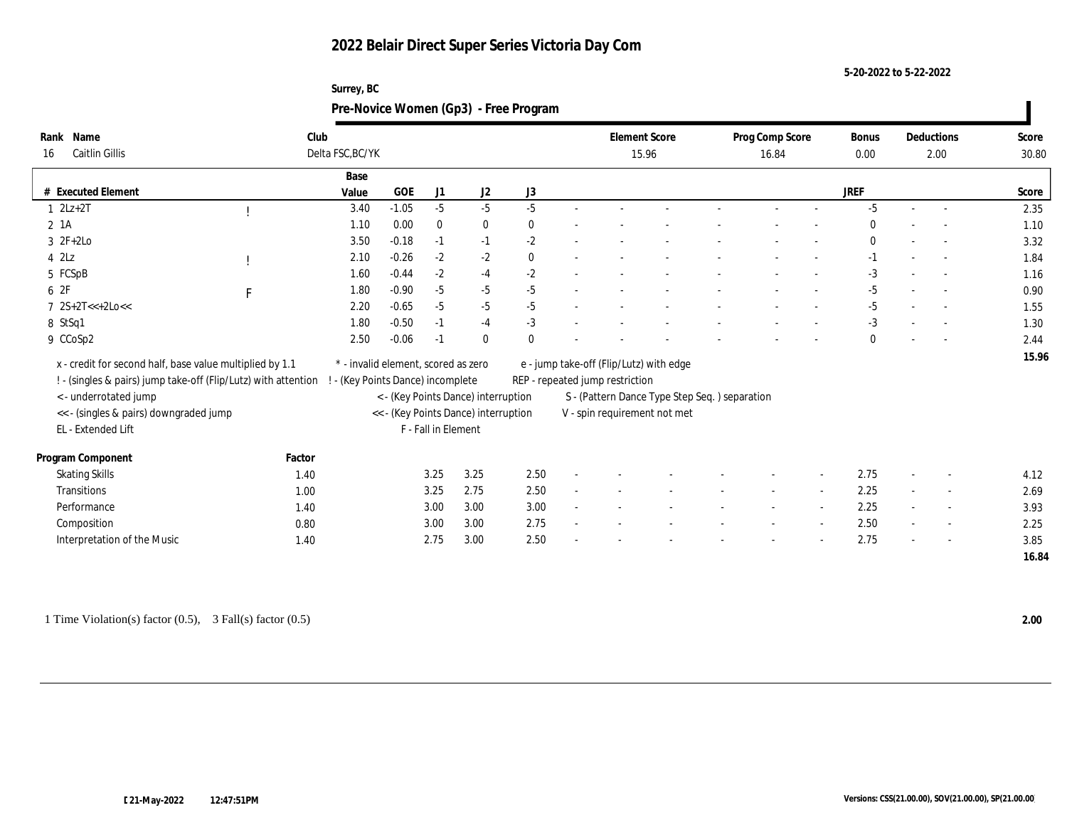#### **5-20-2022 to 5-22-2022**

### **Surrey, BC Pre-Novice Women (Gp3) - Free Program**

| Name<br>Rank                                                                            | Club             |                                                                          |                     |                                      |              |                                                                               |                                                                            | <b>Element Score</b> |  | Prog Comp Score |                          | <b>Bonus</b> |      | Deductions               | Score |  |
|-----------------------------------------------------------------------------------------|------------------|--------------------------------------------------------------------------|---------------------|--------------------------------------|--------------|-------------------------------------------------------------------------------|----------------------------------------------------------------------------|----------------------|--|-----------------|--------------------------|--------------|------|--------------------------|-------|--|
| Caitlin Gillis<br>16                                                                    | Delta FSC, BC/YK |                                                                          |                     |                                      |              |                                                                               |                                                                            | 15.96                |  | 16.84           |                          | 0.00         | 2.00 |                          | 30.80 |  |
|                                                                                         | Base             |                                                                          |                     |                                      |              |                                                                               |                                                                            |                      |  |                 |                          |              |      |                          |       |  |
| # Executed Element                                                                      | Value            | GOE                                                                      | J1                  | J2                                   | J3           |                                                                               |                                                                            |                      |  |                 |                          | JREF         |      |                          | Score |  |
| $1 \quad 2Lz+2T$                                                                        | 3.40             | $-1.05$                                                                  | $-5$                | $-5$                                 | $-5$         |                                                                               |                                                                            |                      |  |                 |                          | $-5$         |      | $\overline{\phantom{a}}$ | 2.35  |  |
| 2 1A                                                                                    | 1.10             | 0.00                                                                     | $\bf{0}$            | $\bf{0}$                             | $\theta$     |                                                                               |                                                                            |                      |  |                 |                          | $\theta$     |      |                          | 1.10  |  |
| $3 \t2F+2Lo$                                                                            | 3.50             | $-0.18$                                                                  | $-1$                | $-1$                                 | $-2$         |                                                                               |                                                                            |                      |  |                 |                          | $\mathbf{0}$ |      | $\overline{\phantom{a}}$ | 3.32  |  |
| $4$ $2\text{L}z$                                                                        | 2.10             | $-0.26$                                                                  | $-2$                | $-2$                                 | $\mathbf{0}$ |                                                                               |                                                                            |                      |  |                 |                          | $-1$         |      |                          | 1.84  |  |
| 5 FCSpB                                                                                 | 1.60             | $-0.44$                                                                  | $-2$                | $-4$                                 | $-2$         |                                                                               |                                                                            |                      |  |                 |                          | $-3$         |      | $\overline{\phantom{a}}$ | 1.16  |  |
| 6 2F<br>$\mathbf{F}$                                                                    | 1.80             | $-0.90$                                                                  | $-5$                | $-5$                                 | $-5$         |                                                                               |                                                                            |                      |  |                 |                          | $-5$         |      |                          | 0.90  |  |
| $7 \text{ } 2S+2T<<+2Loc<$                                                              | 2.20             | $-0.65$                                                                  | $-5$                | $-5$                                 | $-5$         |                                                                               |                                                                            |                      |  |                 |                          | $-5$         |      | $\overline{\phantom{a}}$ | 1.55  |  |
| 8 StSq1                                                                                 | 1.80             | $-0.50$                                                                  | $-1$                | $-4$                                 | $-3$         |                                                                               |                                                                            |                      |  |                 |                          | $-3$         |      | $\overline{\phantom{a}}$ | 1.30  |  |
| 9 CCoSp2                                                                                | 2.50             | $-0.06$                                                                  | $-1$                | $\mathbf{0}$                         | $\theta$     |                                                                               |                                                                            |                      |  |                 |                          | $\mathbf{0}$ |      | $\overline{\phantom{a}}$ | 2.44  |  |
| x - credit for second half, base value multiplied by 1.1                                |                  |                                                                          |                     |                                      |              |                                                                               |                                                                            |                      |  |                 |                          |              |      |                          | 15.96 |  |
|                                                                                         |                  | * - invalid element, scored as zero<br>! - (Key Points Dance) incomplete |                     |                                      |              |                                                                               | e - jump take-off (Flip/Lutz) with edge<br>REP - repeated jump restriction |                      |  |                 |                          |              |      |                          |       |  |
| ! - (singles & pairs) jump take-off (Flip/Lutz) with attention<br>< - underrotated jump |                  |                                                                          |                     | < - (Key Points Dance) interruption  |              |                                                                               |                                                                            |                      |  |                 |                          |              |      |                          |       |  |
|                                                                                         |                  |                                                                          |                     |                                      |              | S - (Pattern Dance Type Step Seq.) separation<br>V - spin requirement not met |                                                                            |                      |  |                 |                          |              |      |                          |       |  |
| << - (singles & pairs) downgraded jump<br>EL - Extended Lift                            |                  |                                                                          | F - Fall in Element | << - (Key Points Dance) interruption |              |                                                                               |                                                                            |                      |  |                 |                          |              |      |                          |       |  |
|                                                                                         |                  |                                                                          |                     |                                      |              |                                                                               |                                                                            |                      |  |                 |                          |              |      |                          |       |  |
| Program Component                                                                       | Factor           |                                                                          |                     |                                      |              |                                                                               |                                                                            |                      |  |                 |                          |              |      |                          |       |  |
| <b>Skating Skills</b>                                                                   | 1.40             |                                                                          | 3.25                | 3.25                                 | 2.50         |                                                                               |                                                                            |                      |  |                 | $\overline{\phantom{a}}$ | 2.75         |      | $\overline{\phantom{a}}$ | 4.12  |  |
| Transitions                                                                             | 1.00             |                                                                          | 3.25                | 2.75                                 | 2.50         |                                                                               |                                                                            |                      |  |                 |                          | 2.25         |      | $\overline{\phantom{a}}$ | 2.69  |  |
| Performance                                                                             | 1.40             |                                                                          | 3.00                | 3.00                                 | 3.00         |                                                                               |                                                                            |                      |  |                 |                          | 2.25         |      | $\overline{\phantom{a}}$ | 3.93  |  |
| Composition                                                                             | 0.80             |                                                                          | 3.00                | 3.00                                 | 2.75         |                                                                               |                                                                            |                      |  |                 | $\sim$                   | 2.50         |      | $\sim$                   | 2.25  |  |
| Interpretation of the Music                                                             | 1.40             |                                                                          | 2.75                | 3.00                                 | 2.50         |                                                                               |                                                                            |                      |  |                 |                          | 2.75         |      |                          | 3.85  |  |
|                                                                                         |                  |                                                                          |                     |                                      |              |                                                                               |                                                                            |                      |  |                 |                          |              |      |                          | 16.84 |  |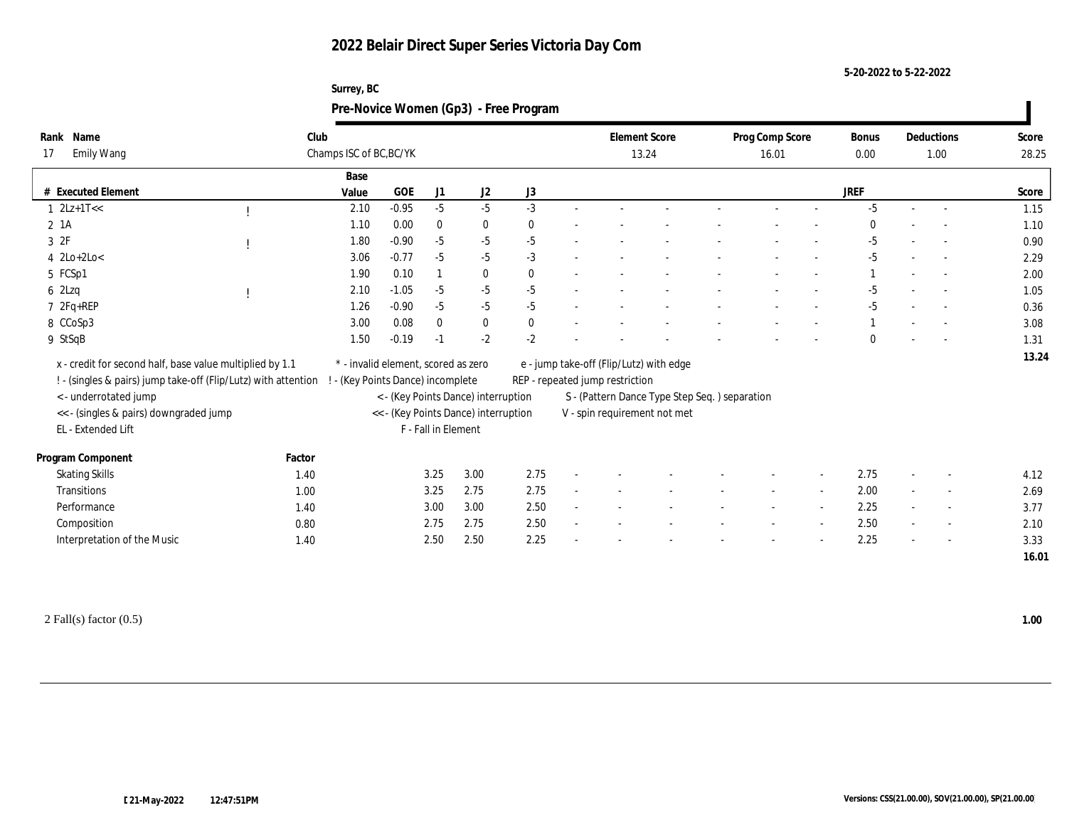#### **5-20-2022 to 5-22-2022**

### **Surrey, BC Pre-Novice Women (Gp3) - Free Program**

| Name<br>Rank                                                   |        | Club                              |                                                             |          |                                     |              |                                                                               | <b>Element Score</b> |  |  | Prog Comp Score |                          | <b>Bonus</b> |  | Deductions               | Score |  |
|----------------------------------------------------------------|--------|-----------------------------------|-------------------------------------------------------------|----------|-------------------------------------|--------------|-------------------------------------------------------------------------------|----------------------|--|--|-----------------|--------------------------|--------------|--|--------------------------|-------|--|
| <b>Emily Wang</b><br>17                                        |        | Champs ISC of BC, BC/YK           |                                                             |          |                                     |              |                                                                               | 13.24                |  |  | 16.01           |                          | $0.00\,$     |  | 1.00                     | 28.25 |  |
|                                                                |        | Base                              |                                                             |          |                                     |              |                                                                               |                      |  |  |                 |                          |              |  |                          |       |  |
| # Executed Element                                             |        | Value                             | <b>GOE</b>                                                  | J1       | J2                                  | J3           |                                                                               |                      |  |  |                 |                          | JREF         |  |                          | Score |  |
| $1 \ \ 2Lz+1T<<$                                               |        | 2.10                              | $-0.95$                                                     | $-5$     | $-5$                                | $-3$         |                                                                               |                      |  |  |                 |                          | $-5$         |  | $\overline{\phantom{a}}$ | 1.15  |  |
| $2$ 1A                                                         |        | 1.10                              | 0.00                                                        | $\bf{0}$ | $\bf{0}$                            | $\mathbf{0}$ |                                                                               |                      |  |  |                 |                          | $\Omega$     |  |                          | 1.10  |  |
| 3 2F                                                           |        | 1.80                              | $-0.90$                                                     | $-5$     | $-5$                                | $-5$         |                                                                               |                      |  |  |                 |                          | $-5$         |  |                          | 0.90  |  |
| $4$ 2Lo+2Lo<                                                   |        | 3.06                              | $-0.77$                                                     | $-5$     | $-5$                                | $-3$         |                                                                               |                      |  |  |                 |                          | $-5$         |  | $\overline{\phantom{a}}$ | 2.29  |  |
| 5 FCSp1                                                        |        | 1.90                              | 0.10                                                        |          | $\bf{0}$                            | $\mathbf{0}$ |                                                                               |                      |  |  |                 |                          |              |  | $\overline{\phantom{a}}$ | 2.00  |  |
| $6$ 2Lzq                                                       |        | 2.10                              | $-1.05$                                                     | $-5$     | $-5$                                | $-5$         |                                                                               |                      |  |  |                 |                          | $-5$         |  |                          | 1.05  |  |
| $7 2Fq+REP$                                                    |        | 1.26                              | $-0.90$                                                     | $-5$     | $-5$                                | $-5$         |                                                                               |                      |  |  |                 |                          | $-5$         |  |                          | 0.36  |  |
| 8 CCoSp3                                                       |        | 3.00                              | 0.08                                                        | $\bf{0}$ | $\bf{0}$                            | $\bf{0}$     |                                                                               |                      |  |  |                 |                          |              |  | $\overline{\phantom{a}}$ | 3.08  |  |
| 9 StSqB                                                        |        | 1.50                              | $-0.19$                                                     | $-1$     | $-2$                                | $-2$         |                                                                               |                      |  |  |                 |                          | $\Omega$     |  |                          | 1.31  |  |
| x - credit for second half, base value multiplied by 1.1       |        |                                   | * - invalid element, scored as zero                         |          |                                     |              | e - jump take-off (Flip/Lutz) with edge                                       |                      |  |  |                 |                          |              |  |                          |       |  |
| ! - (singles & pairs) jump take-off (Flip/Lutz) with attention |        | ! - (Key Points Dance) incomplete |                                                             |          |                                     |              | REP - repeated jump restriction                                               |                      |  |  |                 |                          |              |  |                          |       |  |
| <- underrotated jump                                           |        |                                   |                                                             |          | < - (Key Points Dance) interruption |              |                                                                               |                      |  |  |                 |                          |              |  |                          |       |  |
| << - (singles & pairs) downgraded jump                         |        |                                   |                                                             |          |                                     |              | S - (Pattern Dance Type Step Seq.) separation<br>V - spin requirement not met |                      |  |  |                 |                          |              |  |                          |       |  |
| EL - Extended Lift                                             |        |                                   | << - (Key Points Dance) interruption<br>F - Fall in Element |          |                                     |              |                                                                               |                      |  |  |                 |                          |              |  |                          |       |  |
|                                                                |        |                                   |                                                             |          |                                     |              |                                                                               |                      |  |  |                 |                          |              |  |                          |       |  |
| Program Component                                              | Factor |                                   |                                                             |          |                                     |              |                                                                               |                      |  |  |                 |                          |              |  |                          |       |  |
| <b>Skating Skills</b>                                          | 1.40   |                                   |                                                             | 3.25     | 3.00                                | 2.75         |                                                                               |                      |  |  |                 | $\overline{\phantom{a}}$ | 2.75         |  | $\overline{\phantom{a}}$ | 4.12  |  |
| Transitions                                                    | 1.00   |                                   |                                                             | 3.25     | 2.75                                | 2.75         |                                                                               |                      |  |  |                 |                          | 2.00         |  | $\overline{\phantom{a}}$ | 2.69  |  |
| Performance                                                    | 1.40   |                                   |                                                             | 3.00     | 3.00                                | 2.50         |                                                                               |                      |  |  |                 |                          | 2.25         |  | $\overline{\phantom{a}}$ | 3.77  |  |
| Composition                                                    | 0.80   |                                   |                                                             | 2.75     | 2.75                                | 2.50         |                                                                               |                      |  |  |                 |                          | 2.50         |  | $\overline{\phantom{a}}$ | 2.10  |  |
| Interpretation of the Music                                    | 1.40   |                                   |                                                             | 2.50     | 2.50                                | 2.25         |                                                                               |                      |  |  |                 |                          | 2.25         |  |                          | 3.33  |  |
|                                                                |        |                                   |                                                             |          |                                     |              |                                                                               |                      |  |  |                 |                          |              |  |                          | 16.01 |  |